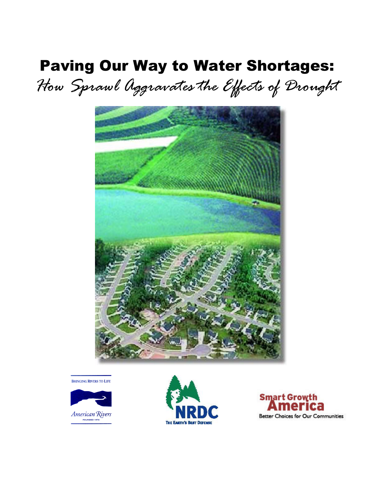# Paving Our Way to Water Shortages:

*How Sprawl Aggravates the Effects of Drought*



**BRINGING RIVERS TO LIFE** 





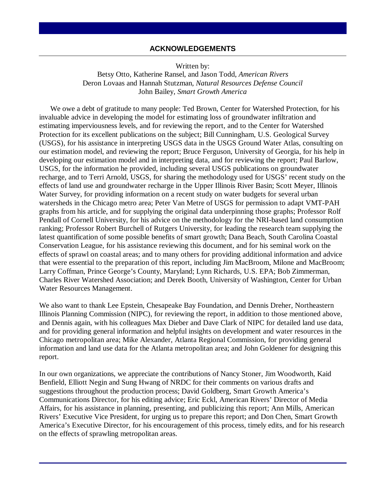#### **ACKNOWLEDGEMENTS**

Written by:

Betsy Otto, Katherine Ransel, and Jason Todd, *American Rivers* Deron Lovaas and Hannah Stutzman, *Natural Resources Defense Council* John Bailey, *Smart Growth America*

We owe a debt of gratitude to many people: Ted Brown, Center for Watershed Protection, for his invaluable advice in developing the model for estimating loss of groundwater infiltration and estimating imperviousness levels, and for reviewing the report, and to the Center for Watershed Protection for its excellent publications on the subject; Bill Cunningham, U.S. Geological Survey (USGS), for his assistance in interpreting USGS data in the USGS Ground Water Atlas, consulting on our estimation model, and reviewing the report; Bruce Ferguson, University of Georgia, for his help in developing our estimation model and in interpreting data, and for reviewing the report; Paul Barlow, USGS, for the information he provided, including several USGS publications on groundwater recharge, and to Terri Arnold, USGS, for sharing the methodology used for USGS' recent study on the effects of land use and groundwater recharge in the Upper Illinois River Basin; Scott Meyer, Illinois Water Survey, for providing information on a recent study on water budgets for several urban watersheds in the Chicago metro area; Peter Van Metre of USGS for permission to adapt VMT-PAH graphs from his article, and for supplying the original data underpinning those graphs; Professor Rolf Pendall of Cornell University, for his advice on the methodology for the NRI-based land consumption ranking; Professor Robert Burchell of Rutgers University, for leading the research team supplying the latest quantification of some possible benefits of smart growth; Dana Beach, South Carolina Coastal Conservation League, for his assistance reviewing this document, and for his seminal work on the effects of sprawl on coastal areas; and to many others for providing additional information and advice that were essential to the preparation of this report, including Jim MacBroom, Milone and MacBroom; Larry Coffman, Prince George's County, Maryland; Lynn Richards, U.S. EPA; Bob Zimmerman, Charles River Watershed Association; and Derek Booth, University of Washington, Center for Urban Water Resources Management.

We also want to thank Lee Epstein, Chesapeake Bay Foundation, and Dennis Dreher, Northeastern Illinois Planning Commission (NIPC), for reviewing the report, in addition to those mentioned above, and Dennis again, with his colleagues Max Dieber and Dave Clark of NIPC for detailed land use data, and for providing general information and helpful insights on development and water resources in the Chicago metropolitan area; Mike Alexander, Atlanta Regional Commission, for providing general information and land use data for the Atlanta metropolitan area; and John Goldener for designing this report.

In our own organizations, we appreciate the contributions of Nancy Stoner, Jim Woodworth, Kaid Benfield, Elliott Negin and Sung Hwang of NRDC for their comments on various drafts and suggestions throughout the production process; David Goldberg, Smart Growth America's Communications Director, for his editing advice; Eric Eckl, American Rivers' Director of Media Affairs, for his assistance in planning, presenting, and publicizing this report; Ann Mills, American Rivers' Executive Vice President, for urging us to prepare this report; and Don Chen, Smart Growth America's Executive Director, for his encouragement of this process, timely edits, and for his research on the effects of sprawling metropolitan areas.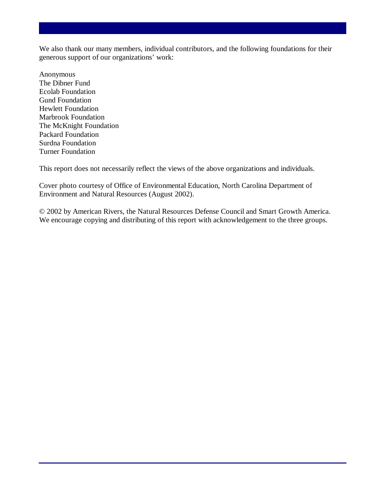We also thank our many members, individual contributors, and the following foundations for their generous support of our organizations' work:

Anonymous The Dibner Fund Ecolab Foundation Gund Foundation Hewlett Foundation Marbrook Foundation The McKnight Foundation Packard Foundation Surdna Foundation Turner Foundation

This report does not necessarily reflect the views of the above organizations and individuals.

Cover photo courtesy of Office of Environmental Education, North Carolina Department of Environment and Natural Resources (August 2002).

© 2002 by American Rivers, the Natural Resources Defense Council and Smart Growth America. We encourage copying and distributing of this report with acknowledgement to the three groups.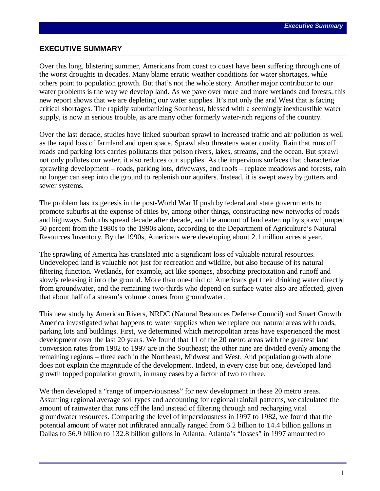#### **EXECUTIVE SUMMARY**

Over this long, blistering summer, Americans from coast to coast have been suffering through one of the worst droughts in decades. Many blame erratic weather conditions for water shortages, while others point to population growth. But that's not the whole story. Another major contributor to our water problems is the way we develop land. As we pave over more and more wetlands and forests, this new report shows that we are depleting our water supplies. It's not only the arid West that is facing critical shortages. The rapidly suburbanizing Southeast, blessed with a seemingly inexhaustible water supply, is now in serious trouble, as are many other formerly water-rich regions of the country.

Over the last decade, studies have linked suburban sprawl to increased traffic and air pollution as well as the rapid loss of farmland and open space. Sprawl also threatens water quality. Rain that runs off roads and parking lots carries pollutants that poison rivers, lakes, streams, and the ocean. But sprawl not only pollutes our water, it also reduces our supplies. As the impervious surfaces that characterize sprawling development – roads, parking lots, driveways, and roofs – replace meadows and forests, rain no longer can seep into the ground to replenish our aquifers. Instead, it is swept away by gutters and sewer systems.

The problem has its genesis in the post-World War II push by federal and state governments to promote suburbs at the expense of cities by, among other things, constructing new networks of roads and highways. Suburbs spread decade after decade, and the amount of land eaten up by sprawl jumped 50 percent from the 1980s to the 1990s alone, according to the Department of Agriculture's Natural Resources Inventory. By the 1990s, Americans were developing about 2.1 million acres a year.

The sprawling of America has translated into a significant loss of valuable natural resources. Undeveloped land is valuable not just for recreation and wildlife, but also because of its natural filtering function. Wetlands, for example, act like sponges, absorbing precipitation and runoff and slowly releasing it into the ground. More than one-third of Americans get their drinking water directly from groundwater, and the remaining two-thirds who depend on surface water also are affected, given that about half of a stream's volume comes from groundwater.

This new study by American Rivers, NRDC (Natural Resources Defense Council) and Smart Growth America investigated what happens to water supplies when we replace our natural areas with roads, parking lots and buildings. First, we determined which metropolitan areas have experienced the most development over the last 20 years. We found that 11 of the 20 metro areas with the greatest land conversion rates from 1982 to 1997 are in the Southeast; the other nine are divided evenly among the remaining regions – three each in the Northeast, Midwest and West. And population growth alone does not explain the magnitude of the development. Indeed, in every case but one, developed land growth topped population growth, in many cases by a factor of two to three.

We then developed a "range of imperviousness" for new development in these 20 metro areas. Assuming regional average soil types and accounting for regional rainfall patterns, we calculated the amount of rainwater that runs off the land instead of filtering through and recharging vital groundwater resources. Comparing the level of imperviousness in 1997 to 1982, we found that the potential amount of water not infiltrated annually ranged from 6.2 billion to 14.4 billion gallons in Dallas to 56.9 billion to 132.8 billion gallons in Atlanta. Atlanta's "losses" in 1997 amounted to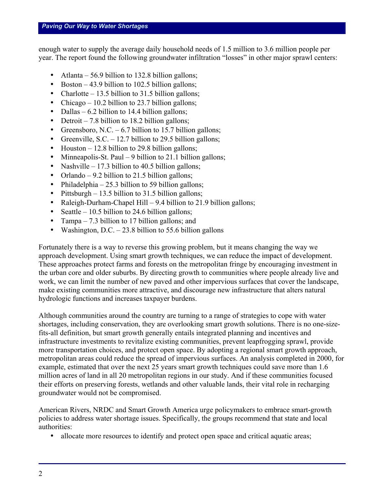enough water to supply the average daily household needs of 1.5 million to 3.6 million people per year. The report found the following groundwater infiltration "losses" in other major sprawl centers:

- Atlanta 56.9 billion to 132.8 billion gallons;
- Boston 43.9 billion to 102.5 billion gallons;
- Charlotte 13.5 billion to 31.5 billion gallons;
- Chicago 10.2 billion to 23.7 billion gallons;
- Dallas 6.2 billion to 14.4 billion gallons;
- Detroit 7.8 billion to 18.2 billion gallons;
- Greensboro, N.C.  $-6.7$  billion to 15.7 billion gallons;
- Greenville, S.C. 12.7 billion to 29.5 billion gallons;
- Houston  $-12.8$  billion to 29.8 billion gallons;
- Minneapolis-St. Paul 9 billion to 21.1 billion gallons;
- Nashville 17.3 billion to 40.5 billion gallons;
- Orlando 9.2 billion to 21.5 billion gallons;
- Philadelphia 25.3 billion to 59 billion gallons;
- Pittsburgh 13.5 billion to 31.5 billion gallons:
- Raleigh-Durham-Chapel Hill 9.4 billion to 21.9 billion gallons;
- Seattle 10.5 billion to 24.6 billion gallons;
- Tampa 7.3 billion to 17 billion gallons; and
- Washington, D.C.  $-23.8$  billion to 55.6 billion gallons

Fortunately there is a way to reverse this growing problem, but it means changing the way we approach development. Using smart growth techniques, we can reduce the impact of development. These approaches protect farms and forests on the metropolitan fringe by encouraging investment in the urban core and older suburbs. By directing growth to communities where people already live and work, we can limit the number of new paved and other impervious surfaces that cover the landscape, make existing communities more attractive, and discourage new infrastructure that alters natural hydrologic functions and increases taxpayer burdens.

Although communities around the country are turning to a range of strategies to cope with water shortages, including conservation, they are overlooking smart growth solutions. There is no one-sizefits-all definition, but smart growth generally entails integrated planning and incentives and infrastructure investments to revitalize existing communities, prevent leapfrogging sprawl, provide more transportation choices, and protect open space. By adopting a regional smart growth approach, metropolitan areas could reduce the spread of impervious surfaces. An analysis completed in 2000, for example, estimated that over the next 25 years smart growth techniques could save more than 1.6 million acres of land in all 20 metropolitan regions in our study. And if these communities focused their efforts on preserving forests, wetlands and other valuable lands, their vital role in recharging groundwater would not be compromised.

American Rivers, NRDC and Smart Growth America urge policymakers to embrace smart-growth policies to address water shortage issues. Specifically, the groups recommend that state and local authorities:

• allocate more resources to identify and protect open space and critical aquatic areas;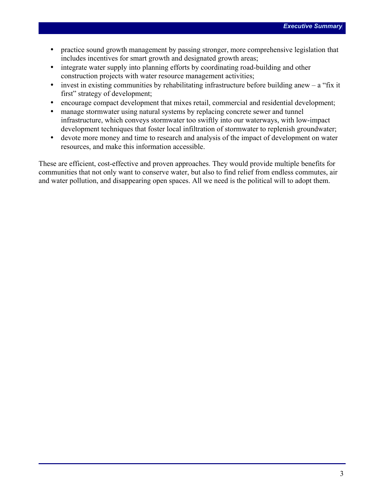- practice sound growth management by passing stronger, more comprehensive legislation that includes incentives for smart growth and designated growth areas;
- integrate water supply into planning efforts by coordinating road-building and other construction projects with water resource management activities;
- invest in existing communities by rehabilitating infrastructure before building anew  $-$  a "fix it" first" strategy of development;
- encourage compact development that mixes retail, commercial and residential development;
- manage stormwater using natural systems by replacing concrete sewer and tunnel infrastructure, which conveys stormwater too swiftly into our waterways, with low-impact development techniques that foster local infiltration of stormwater to replenish groundwater;
- devote more money and time to research and analysis of the impact of development on water resources, and make this information accessible.

These are efficient, cost-effective and proven approaches. They would provide multiple benefits for communities that not only want to conserve water, but also to find relief from endless commutes, air and water pollution, and disappearing open spaces. All we need is the political will to adopt them.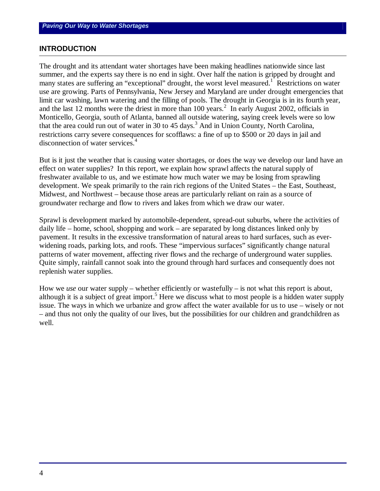#### **INTRODUCTION**

The drought and its attendant water shortages have been making headlines nationwide since last summer, and the experts say there is no end in sight. Over half the nation is gripped by drought and many states are suffering an "exceptional" drought, the worst level measured.<sup>1</sup> Restrictions on water use are growing. Parts of Pennsylvania, New Jersey and Maryland are under drought emergencies that limit car washing, lawn watering and the filling of pools. The drought in Georgia is in its fourth year, and the last 12 months were the driest in more than 100 years.<sup>2</sup> In early August 2002, officials in Monticello, Georgia, south of Atlanta, banned all outside watering, saying creek levels were so low that the area could run out of water in 30 to 45 days.<sup>3</sup> And in Union County, North Carolina, restrictions carry severe consequences for scofflaws: a fine of up to \$500 or 20 days in jail and disconnection of water services.<sup>4</sup>

But is it just the weather that is causing water shortages, or does the way we develop our land have an effect on water supplies? In this report, we explain how sprawl affects the natural supply of freshwater available to us, and we estimate how much water we may be losing from sprawling development. We speak primarily to the rain rich regions of the United States – the East, Southeast, Midwest, and Northwest – because those areas are particularly reliant on rain as a source of groundwater recharge and flow to rivers and lakes from which we draw our water.

Sprawl is development marked by automobile-dependent, spread-out suburbs, where the activities of daily life – home, school, shopping and work – are separated by long distances linked only by pavement. It results in the excessive transformation of natural areas to hard surfaces, such as everwidening roads, parking lots, and roofs. These "impervious surfaces" significantly change natural patterns of water movement, affecting river flows and the recharge of underground water supplies. Quite simply, rainfall cannot soak into the ground through hard surfaces and consequently does not replenish water supplies.

How we *use* our water supply – whether efficiently or wastefully – is not what this report is about, although it is a subject of great import.<sup>5</sup> Here we discuss what to most people is a hidden water supply issue. The ways in which we urbanize and grow affect the water available for us to use – wisely or not – and thus not only the quality of our lives, but the possibilities for our children and grandchildren as well.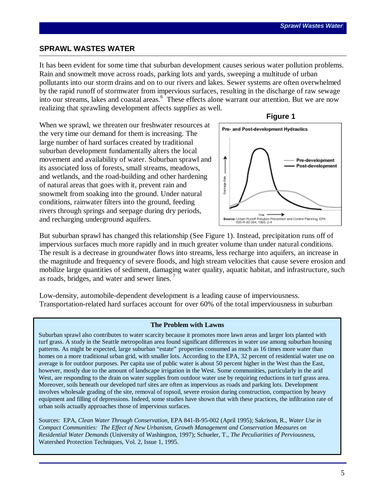#### **SPRAWL WASTES WATER**

It has been evident for some time that suburban development causes serious water pollution problems. Rain and snowmelt move across roads, parking lots and yards, sweeping a multitude of urban pollutants into our storm drains and on to our rivers and lakes. Sewer systems are often overwhelmed by the rapid runoff of stormwater from impervious surfaces, resulting in the discharge of raw sewage into our streams, lakes and coastal areas.<sup>6</sup> These effects alone warrant our attention. But we are now realizing that sprawling development affects *supplies* as well.





 **Figure 1**

But suburban sprawl has changed this relationship (See Figure 1). Instead, precipitation runs off of impervious surfaces much more rapidly and in much greater volume than under natural conditions. The result is a decrease in groundwater flows into streams, less recharge into aquifers, an increase in the magnitude and frequency of severe floods, and high stream velocities that cause severe erosion and mobilize large quantities of sediment, damaging water quality, aquatic habitat, and infrastructure, such as roads, bridges, and water and sewer lines. <sup>7</sup>

Low-density, automobile-dependent development is a leading cause of imperviousness. Transportation-related hard surfaces account for over 60% of the total imperviousness in suburban

#### **The Problem with Lawns**

Suburban sprawl also contributes to water scarcity because it promotes more lawn areas and larger lots planted with turf grass. A study in the Seattle metropolitan area found significant differences in water use among suburban housing patterns. As might be expected, large suburban "estate" properties consumed as much as 16 times more water than homes on a more traditional urban grid, with smaller lots. According to the EPA, 32 percent of residential water use on average is for outdoor purposes. Per capita use of public water is about 50 percent higher in the West than the East, however, mostly due to the amount of landscape irrigation in the West. Some communities, particularly in the arid West, are responding to the drain on water supplies from outdoor water use by requiring reductions in turf grass area. Moreover, soils beneath our developed turf sites are often as impervious as roads and parking lots. Development involves wholesale grading of the site, removal of topsoil, severe erosion during construction, compaction by heavy equipment and filling of depressions. Indeed, some studies have shown that with these practices, the infiltration rate of urban soils actually approaches those of impervious surfaces.

Sources: EPA, *Clean Water Through Conservation*, EPA 841-B-95-002 (April 1995); Sakrison, R., *Water Use in Compact Communities: The Effect of New Urbanism, Growth Management and Conservation Measures on Residential Water Demands* (University of Washington, 1997); Schueler, T., *The Peculiarities of Perviousness*, Watershed Protection Techniques, Vol. 2, Issue 1, 1995.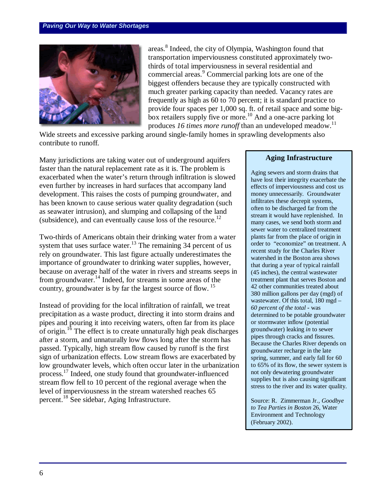

areas.<sup>8</sup> Indeed, the city of Olympia, Washington found that transportation imperviousness constituted approximately twothirds of total imperviousness in several residential and commercial areas.<sup>9</sup> Commercial parking lots are one of the biggest offenders because they are typically constructed with much greater parking capacity than needed. Vacancy rates are frequently as high as 60 to 70 percent; it is standard practice to provide four spaces per 1,000 sq. ft. of retail space and some bigbox retailers supply five or more.<sup>10</sup> And a one-acre parking lot produces 16 times more runoff than an undeveloped meadow.<sup>11</sup>

Wide streets and excessive parking around single-family homes in sprawling developments also contribute to runoff.

Many jurisdictions are taking water out of underground aquifers faster than the natural replacement rate as it is. The problem is exacerbated when the water's return through infiltration is slowed even further by increases in hard surfaces that accompany land development. This raises the costs of pumping groundwater, and has been known to cause serious water quality degradation (such as seawater intrusion), and slumping and collapsing of the land (subsidence), and can eventually cause loss of the resource.<sup>12</sup>

Two-thirds of Americans obtain their drinking water from a water system that uses surface water.<sup>13</sup> The remaining 34 percent of us rely on groundwater. This last figure actually underestimates the importance of groundwater to drinking water supplies, however, because on average half of the water in rivers and streams seeps in from groundwater.<sup>14</sup> Indeed, for streams in some areas of the country, groundwater is by far the largest source of flow.<sup>15</sup>

Instead of providing for the local infiltration of rainfall, we treat precipitation as a waste product, directing it into storm drains and pipes and pouring it into receiving waters, often far from its place of origin.<sup>16</sup> The effect is to create unnaturally high peak discharges after a storm, and unnaturally low flows long after the storm has passed. Typically, high stream flow caused by runoff is the first sign of urbanization effects. Low stream flows are exacerbated by low groundwater levels, which often occur later in the urbanization process.<sup>17</sup> Indeed, one study found that groundwater-influenced stream flow fell to 10 percent of the regional average when the level of imperviousness in the stream watershed reaches 65 percent.<sup>18</sup> See sidebar, Aging Infrastructure.

#### **Aging Infrastructure**

Aging sewers and storm drains that have lost their integrity exacerbate the effects of imperviousness and cost us money unnecessarily. Groundwater infiltrates these decrepit systems, often to be discharged far from the stream it would have replenished. In many cases, we send both storm and sewer water to centralized treatment plants far from the place of origin in order to "economize" on treatment. A recent study for the Charles River watershed in the Boston area shows that during a year of typical rainfall (45 inches), the central wastewater treatment plant that serves Boston and 42 other communities treated about 380 million gallons per day (mgd) of wastewater. Of this total, 180 mgd – *60 percent of the total* **-** was determined to be potable groundwater or stormwater inflow (potential groundwater) leaking *in* to sewer pipes through cracks and fissures. Because the Charles River depends on groundwater recharge in the late spring, summer, and early fall for 60 to 65% of its flow, the sewer system is not only dewatering groundwater supplies but is also causing significant stress to the river and its water quality.

Source: R. Zimmerman Jr., *Goodbye to Tea Parties in Boston* 26, Water Environment and Technology (February 2002).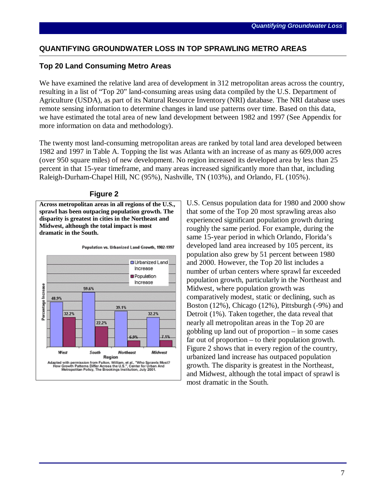#### **QUANTIFYING GROUNDWATER LOSS IN TOP SPRAWLING METRO AREAS**

#### **Top 20 Land Consuming Metro Areas**

We have examined the relative land area of development in 312 metropolitan areas across the country, resulting in a list of "Top 20" land-consuming areas using data compiled by the U.S. Department of Agriculture (USDA), as part of its Natural Resource Inventory (NRI) database. The NRI database uses remote sensing information to determine changes in land use patterns over time. Based on this data, we have estimated the total area of new land development between 1982 and 1997 (See Appendix for more information on data and methodology).

The twenty most land-consuming metropolitan areas are ranked by total land area developed between 1982 and 1997 in Table A. Topping the list was Atlanta with an increase of as many as 609,000 acres (over 950 square miles) of new development. No region increased its developed area by less than 25 percent in that 15-year timeframe, and many areas increased significantly more than that, including Raleigh-Durham-Chapel Hill, NC (95%), Nashville, TN (103%), and Orlando, FL (105%).



#### **Figure 2**

**Across metropolitan areas in all regions of the U.S., sprawl has been outpacing population growth. The disparity is greatest in cities in the Northeast and Midwest, although the total impact is most** 

U.S. Census population data for 1980 and 2000 show that some of the Top 20 most sprawling areas also experienced significant population growth during roughly the same period. For example, during the same 15-year period in which Orlando, Florida's developed land area increased by 105 percent, its population also grew by 51 percent between 1980 and 2000. However, the Top 20 list includes a number of urban centers where sprawl far exceeded population growth, particularly in the Northeast and Midwest, where population growth was comparatively modest, static or declining, such as Boston (12%), Chicago (12%), Pittsburgh (-9%) and Detroit (1%). Taken together, the data reveal that nearly all metropolitan areas in the Top 20 are gobbling up land out of proportion – in some cases far out of proportion – to their population growth. Figure 2 shows that in every region of the country, urbanized land increase has outpaced population growth. The disparity is greatest in the Northeast, and Midwest, although the total impact of sprawl is most dramatic in the South.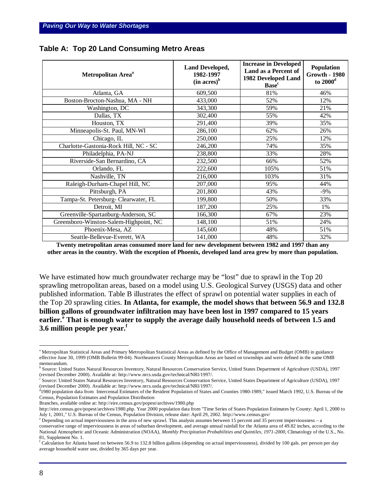| Metropolitan Area <sup>a</sup>         | <b>Land Developed,</b><br>1982-1997<br>$(in \, acres)^b$ | <b>Increase in Developed</b><br>Land as a Percent of<br>1982 Developed Land<br><b>Base</b> <sup>c</sup> | <b>Population</b><br><b>Growth - 1980</b><br>to $2000d$ |
|----------------------------------------|----------------------------------------------------------|---------------------------------------------------------------------------------------------------------|---------------------------------------------------------|
| Atlanta, GA                            | 609,500                                                  | 81%                                                                                                     | 46%                                                     |
| Boston-Brocton-Nashua, MA - NH         | 433,000                                                  | 52%                                                                                                     | 12%                                                     |
| Washington, DC                         | 343,300                                                  | 59%                                                                                                     | 21%                                                     |
| Dallas, TX                             | 302,400                                                  | 55%                                                                                                     | 42%                                                     |
| Houston, TX                            | 291,400                                                  | 39%                                                                                                     | 35%                                                     |
| Minneapolis-St. Paul, MN-WI            | 286,100                                                  | 62%                                                                                                     | 26%                                                     |
| Chicago, IL                            | 250,000                                                  | 25%                                                                                                     | 12%                                                     |
| Charlotte-Gastonia-Rock Hill, NC - SC  | 246,200                                                  | 74%                                                                                                     | 35%                                                     |
| Philadelphia, PA-NJ                    | 238,800                                                  | 33%                                                                                                     | 28%                                                     |
| Riverside-San Bernardino, CA           | 232,500                                                  | 66%                                                                                                     | 52%                                                     |
| Orlando, FL                            | 222,600                                                  | 105%                                                                                                    | 51%                                                     |
| Nashville, TN                          | 216,000                                                  | 103%                                                                                                    | 31%                                                     |
| Raleigh-Durham-Chapel Hill, NC         | 207,000                                                  | 95%                                                                                                     | 44%                                                     |
| Pittsburgh, PA                         | 201,800                                                  | 43%                                                                                                     | $-9%$                                                   |
| Tampa-St. Petersburg- Clearwater, FL   | 199,800                                                  | 50%                                                                                                     | 33%                                                     |
| Detroit, MI                            | 187,200                                                  | 25%                                                                                                     | 1%                                                      |
| Greenville-Spartanburg-Anderson, SC    | 166,300                                                  | 67%                                                                                                     | 23%                                                     |
| Greensboro-Winston-Salem-Highpoint, NC | 148,100                                                  | 51%                                                                                                     | 24%                                                     |
| Phoenix-Mesa, AZ                       | 145,600                                                  | 48%                                                                                                     | 51%                                                     |
| Seattle-Bellevue-Everett, WA           | 141,000                                                  | 48%                                                                                                     | 32%                                                     |

**Table A: Top 20 Land Consuming Metro Areas**

**Twenty metropolitan areas consumed more land for new development between 1982 and 1997 than any other areas in the country. With the exception of Phoenix, developed land area grew by more than population.**

We have estimated how much groundwater recharge may be "lost" due to sprawl in the Top 20 sprawling metropolitan areas, based on a model using U.S. Geological Survey (USGS) data and other published information. Table B illustrates the effect of sprawl on potential water supplies in each of the Top 20 sprawling cities. **In Atlanta, for example, the model shows that between 56.9 and 132.8 billion gallons of groundwater infiltration may have been lost in 1997 compared to 15 years earlier.<sup>e</sup> That is enough water to supply the average daily household needs of between 1.5 and 3.6 million people per year.<sup>f</sup>**

<sup>c</sup> Source: United States Natural Resources Inventory, Natural Resources Conservation Service, United States Department of Agriculture (USDA), 1997 (revised December 2000). Available at: http://www.nrcs.usda.gov/technical/NRI/1997/.

Branches, available online at: http://eire.census.gov/popest/archives/1980.php

Pepending on actual imperviousness in the area of new sprawl. This analysis assumes between 15 percent and 35 percent imperviousness – a

<u>.</u>

<sup>&</sup>lt;sup>a</sup> Metropolitan Statistical Areas and Primary Metropolitan Statistical Areas as defined by the Office of Management and Budget (OMB) in guidance effective June 30, 1999 (OMB Bulletin 99-04). Northeastern County Metropolitan Areas are based on townships and were defined in the same OMB memorandum.

<sup>&</sup>lt;sup>b</sup> Source: United States Natural Resources Inventory, Natural Resources Conservation Service, United States Department of Agriculture (USDA), 1997 (revised December 2000). Available at: http://www.nrcs.usda.gov/technical/NRI/1997/.

<sup>&</sup>lt;sup>d</sup>1980 population data from Intercensal Estimates of the Resident Population of States and Counties 1980-1989," issued March 1992, U.S. Bureau of the Census, Population Estimates and Population Distribution

http://eire.census.gov/popest/archives/1980.php. Year 2000 population data from "Time Series of States Population Estimates by County: April 1, 2000 to July 1, 2001," U.S. Bureau of the Census, Population Division, release date: April 29, 2002. http://www.census.gov/

conservative range of imperviousness in areas of suburban development, and average annual rainfall for the Atlanta area of 49.82 inches, according to the National Atmospheric and Oceanic Administration (NOAA), *Monthly Precipitation Probabilities and Quintiles, 1971-2000*, Climatology of the U.S., No. 81, Supplement No. 1.

f Calculation for Atlanta based on between 56.9 to 132.8 billion gallons (depending on actual imperviousness), divided by 100 gals. per person per day average household water use, divided by 365 days per year.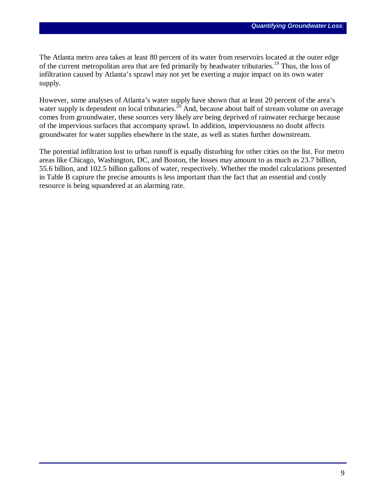The Atlanta metro area takes at least 80 percent of its water from reservoirs located at the outer edge of the current metropolitan area that are fed primarily by headwater tributaries.<sup>19</sup> Thus, the loss of infiltration caused by Atlanta's sprawl may not yet be exerting a major impact on its own water supply.

However, some analyses of Atlanta's water supply have shown that at least 20 percent of the area's water supply is dependent on local tributaries.<sup>20</sup> And, because about half of stream volume on average comes from groundwater, these sources very likely *are* being deprived of rainwater recharge because of the impervious surfaces that accompany sprawl. In addition, imperviousness no doubt affects groundwater for water supplies elsewhere in the state, as well as states further downstream.

The potential infiltration lost to urban runoff is equally disturbing for other cities on the list. For metro areas like Chicago, Washington, DC, and Boston, the losses may amount to as much as 23.7 billion, 55.6 billion, and 102.5 billion gallons of water, respectively. Whether the model calculations presented in Table B capture the precise amounts is less important than the fact that an essential and costly resource is being squandered at an alarming rate.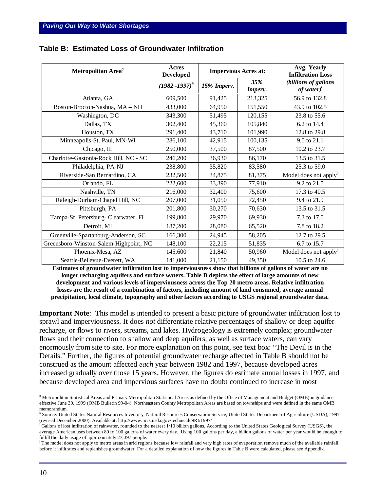| Metropolitan Area <sup>g</sup>         | Acres<br><b>Developed</b> | <b>Impervious Acres at:</b> |                | Avg. Yearly<br><b>Infiltration Loss</b>              |  |
|----------------------------------------|---------------------------|-----------------------------|----------------|------------------------------------------------------|--|
|                                        | $(1982 - 1997)^h$         | 15% Imperv.                 | 35%<br>Imperv. | (billions of gallons<br>of water $\int$ <sup>t</sup> |  |
| Atlanta, GA                            | 609,500                   | 91,425                      | 213,325        | 56.9 to 132.8                                        |  |
| Boston-Brocton-Nashua, MA - NH         | 433,000                   | 64,950                      | 151,550        | 43.9 to 102.5                                        |  |
| Washington, DC                         | 343,300                   | 51,495                      | 120,155        | 23.8 to 55.6                                         |  |
| Dallas, TX                             | 302,400                   | 45,360                      | 105,840        | 6.2 to 14.4                                          |  |
| Houston, TX                            | 291,400                   | 43,710                      | 101,990        | 12.8 to 29.8                                         |  |
| Minneapolis-St. Paul, MN-WI            | 286,100                   | 42,915                      | 100,135        | 9.0 to 21.1                                          |  |
| Chicago, IL                            | 250,000                   | 37,500                      | 87,500         | 10.2 to 23.7                                         |  |
| Charlotte-Gastonia-Rock Hill, NC - SC  | 246,200                   | 36,930                      | 86,170         | 13.5 to 31.5                                         |  |
| Philadelphia, PA-NJ                    | 238,800                   | 35,820                      | 83,580         | 25.3 to 59.0                                         |  |
| Riverside-San Bernardino, CA           | 232,500                   | 34,875                      | 81,375         | Model does not apply <sup>J</sup>                    |  |
| Orlando, FL                            | 222,600                   | 33,390                      | 77,910         | 9.2 to 21.5                                          |  |
| Nashville, TN                          | 216,000                   | 32,400                      | 75,600         | 17.3 to 40.5                                         |  |
| Raleigh-Durham-Chapel Hill, NC         | 207,000                   | 31,050                      | 72,450         | 9.4 to 21.9                                          |  |
| Pittsburgh, PA                         | 201,800                   | 30,270                      | 70,630         | 13.5 to 31.5                                         |  |
| Tampa-St. Petersburg- Clearwater, FL   | 199,800                   | 29,970                      | 69,930         | 7.3 to 17.0                                          |  |
| Detroit, MI                            | 187,200                   | 28,080                      | 65,520         | 7.8 to 18.2                                          |  |
| Greenville-Spartanburg-Anderson, SC    | 166,300                   | 24,945                      | 58,205         | 12.7 to 29.5                                         |  |
| Greensboro-Winston-Salem-Highpoint, NC | 148,100                   | 22,215                      | 51,835         | 6.7 to 15.7                                          |  |
| Phoenix-Mesa, AZ                       | 145,600                   | 21,840                      | 50,960         | Model does not apply <sup>J</sup>                    |  |
| Seattle-Bellevue-Everett, WA           | 141,000                   | 21,150                      | 49,350         | 10.5 to 24.6                                         |  |

#### **Table B: Estimated Loss of Groundwater Infiltration**

**Estimates of groundwater infiltration lost to imperviousness show that billions of gallons of water are no longer recharging aquifers and surface waters. Table B depicts the effect of large amounts of new development and various levels of imperviousness across the Top 20 metro areas. Relative infiltration losses are the result of a combination of factors, including amount of land consumed, average annual precipitation, local climate, topography and other factors according to USGS regional groundwater data.**

**Important Note**: This model is intended to present a basic picture of groundwater infiltration lost to sprawl and imperviousness. It does *not* differentiate relative percentages of shallow or deep aquifer recharge, or flows to rivers, streams, and lakes. Hydrogeology is extremely complex; groundwater flows and their connection to shallow and deep aquifers, as well as surface waters, can vary enormously from site to site. For more explanation on this point, see text box: "The Devil is in the Details." Further, the figures of potential groundwater recharge affected in Table B should not be construed as the amount affected *each* year between 1982 and 1997, because developed acres increased gradually over those 15 years. However, the figures do estimate annual losses in 1997, and because developed area and impervious surfaces have no doubt continued to increase in most

1

<sup>&</sup>lt;sup>g</sup> Metropolitan Statistical Areas and Primary Metropolitan Statistical Areas as defined by the Office of Management and Budget (OMB) in guidance effective June 30, 1999 (OMB Bulletin 99-04). Northeastern County Metropolitan Areas are based on townships and were defined in the same OMB memorandum.

<sup>&</sup>lt;sup>h</sup> Source: United States Natural Resources Inventory, Natural Resources Conservation Service, United States Department of Agriculture (USDA), 1997 (revised December 2000). Available at: http://www.nrcs.usda.gov/technical/NRI/1997/

<sup>&</sup>lt;sup>i</sup> Gallons of lost infiltration of rainwater, rounded to the nearest 1/10 billion gallons. According to the United States Geological Survey (USGS), the average American uses between 80 to 100 gallons of water every day. Using 100 gallons per day, a billion gallons of water per year would be enough to fulfill the daily usage of approximately 27,397 people.

j The model does not apply to metro areas in arid regions because low rainfall and very high rates of evaporation remove much of the available rainfall before it infiltrates and replenishes groundwater. For a detailed explanation of how the figures in Table B were calculated, please see Appendix.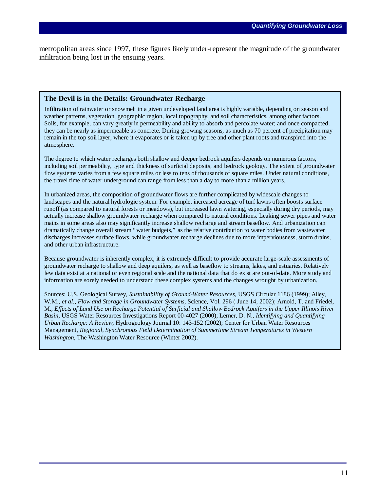metropolitan areas since 1997, these figures likely under-represent the magnitude of the groundwater infiltration being lost in the ensuing years.

#### **The Devil is in the Details: Groundwater Recharge**

Infiltration of rainwater or snowmelt in a given undeveloped land area is highly variable, depending on season and weather patterns, vegetation, geographic region, local topography, and soil characteristics, among other factors. Soils, for example, can vary greatly in permeability and ability to absorb and percolate water; and once compacted, they can be nearly as impermeable as concrete. During growing seasons, as much as 70 percent of precipitation may remain in the top soil layer, where it evaporates or is taken up by tree and other plant roots and transpired into the atmosphere.

The degree to which water recharges both shallow and deeper bedrock aquifers depends on numerous factors, including soil permeability, type and thickness of surficial deposits, and bedrock geology. The extent of groundwater flow systems varies from a few square miles or less to tens of thousands of square miles. Under natural conditions, the travel time of water underground can range from less than a day to more than a million years.

In urbanized areas, the composition of groundwater flows are further complicated by widescale changes to landscapes and the natural hydrologic system. For example, increased acreage of turf lawns often boosts surface runoff (as compared to natural forests or meadows), but increased lawn watering, especially during dry periods, may actually increase shallow groundwater recharge when compared to natural conditions. Leaking sewer pipes and water mains in some areas also may significantly increase shallow recharge and stream baseflow. And urbanization can dramatically change overall stream "water budgets," as the relative contribution to water bodies from wastewater discharges increases surface flows, while groundwater recharge declines due to more imperviousness, storm drains, and other urban infrastructure.

Because groundwater is inherently complex, it is extremely difficult to provide accurate large-scale assessments of groundwater recharge to shallow and deep aquifers, as well as baseflow to streams, lakes, and estuaries. Relatively few data exist at a national or even regional scale and the national data that do exist are out-of-date. More study and information are sorely needed to understand these complex systems and the changes wrought by urbanization.

Sources: U.S. Geological Survey, *Sustainability of Ground-Water Resources*, USGS Circular 1186 (1999); Alley, W.M., *et al., Flow and Storage in Groundwater Systems,* Science, Vol. 296 ( June 14, 2002); Arnold, T. and Friedel, M., *Effects of Land Use on Recharge Potential of Surficial and Shallow Bedrock Aquifers in the Upper Illinois River Basin,* USGS Water Resources Investigations Report 00-4027 (2000); Lerner, D. N., *Identifying and Quantifying Urban Recharge: A Review*, Hydrogeology Journal 10: 143-152 (2002); Center for Urban Water Resources Management, *Regional, Synchronous Field Determination of Summertime Stream Temperatures in Western Washington*, The Washington Water Resource (Winter 2002).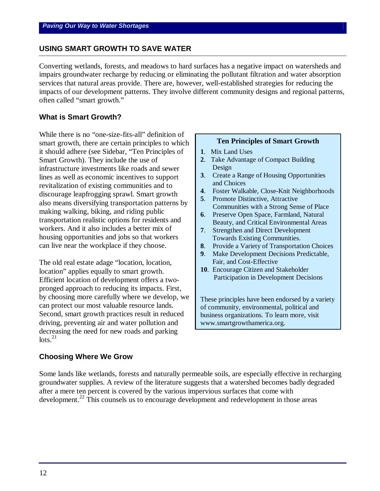#### **USING SMART GROWTH TO SAVE WATER**

Converting wetlands, forests, and meadows to hard surfaces has a negative impact on watersheds and impairs groundwater recharge by reducing or eliminating the pollutant filtration and water absorption services that natural areas provide. There are, however, well-established strategies for reducing the impacts of our development patterns. They involve different community designs and regional patterns, often called "smart growth."

#### **What is Smart Growth?**

While there is no "one-size-fits-all" definition of smart growth, there are certain principles to which it should adhere (see Sidebar, "Ten Principles of Smart Growth). They include the use of infrastructure investments like roads and sewer lines as well as economic incentives to support revitalization of existing communities and to discourage leapfrogging sprawl. Smart growth also means diversifying transportation patterns by making walking, biking, and riding public transportation realistic options for residents and workers. And it also includes a better mix of housing opportunities and jobs so that workers can live near the workplace if they choose.

The old real estate adage "location, location, location" applies equally to smart growth. Efficient location of development offers a twopronged approach to reducing its impacts. First, by choosing more carefully where we develop, we can protect our most valuable resource lands. Second, smart growth practices result in reduced driving, preventing air and water pollution and decreasing the need for new roads and parking  $\frac{1}{2}$ 

#### **Ten Principles of Smart Growth**

- **1**. Mix Land Uses
- **2**. Take Advantage of Compact Building Design
- **3**. Create a Range of Housing Opportunities and Choices
- **4**. Foster Walkable, Close-Knit Neighborhoods
- **5**. Promote Distinctive, Attractive Communities with a Strong Sense of Place
- **6**. Preserve Open Space, Farmland, Natural Beauty, and Critical Environmental Areas
- **7**. Strengthen and Direct Development Towards Existing Communities.
- **8**. Provide a Variety of Transportation Choices
- **9**. Make Development Decisions Predictable, Fair, and Cost-Effective
- **10**. Encourage Citizen and Stakeholder Participation in Development Decisions

These principles have been endorsed by a variety of community, environmental, political and business organizations. To learn more, visit www.smartgrowthamerica.org.

#### **Choosing Where We Grow**

Some lands like wetlands, forests and naturally permeable soils, are especially effective in recharging groundwater supplies. A review of the literature suggests that a watershed becomes badly degraded after a mere ten percent is covered by the various impervious surfaces that come with development.<sup>22</sup> This counsels us to encourage development and redevelopment in those areas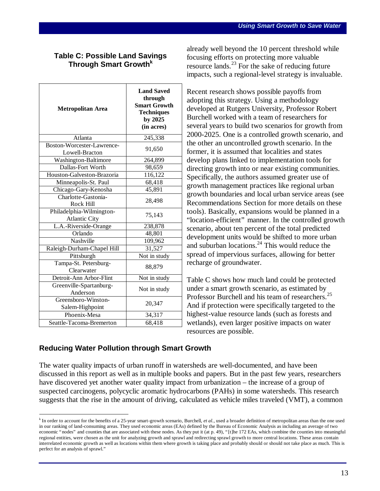# **Table C: Possible Land Savings Through Smart Growth<sup>k</sup>**

| <b>Metropolitan Area</b>                         | <b>Land Saved</b><br>through<br><b>Smart Growth</b><br><b>Techniques</b><br>by 2025<br>(in acres) |  |
|--------------------------------------------------|---------------------------------------------------------------------------------------------------|--|
| Atlanta                                          | 245,338                                                                                           |  |
| Boston-Worcester-Lawrence-<br>Lowell-Bracton     | 91,650                                                                                            |  |
| Washington-Baltimore                             | 264,899                                                                                           |  |
| Dallas-Fort Worth                                | 98,659                                                                                            |  |
| Houston-Galveston-Brazoria                       | 116,122                                                                                           |  |
| Minneapolis-St. Paul                             | 68,418                                                                                            |  |
| Chicago-Gary-Kenosha                             | 45,891                                                                                            |  |
| Charlotte-Gastonia-<br>Rock Hill                 | 28,498                                                                                            |  |
| Philadelphia-Wilmington-<br><b>Atlantic City</b> | 75,143                                                                                            |  |
| L.A.-Riverside-Orange                            | 238,878                                                                                           |  |
| Orlando                                          | 48,801                                                                                            |  |
| Nashville                                        | 109,962                                                                                           |  |
| Raleigh-Durham-Chapel Hill                       | 31,527                                                                                            |  |
| Pittsburgh                                       | Not in study                                                                                      |  |
| Tampa-St. Petersburg-<br>Clearwater              | 88,879                                                                                            |  |
| Detroit-Ann Arbor-Flint                          | Not in study                                                                                      |  |
| Greenville-Spartanburg-<br>Anderson              | Not in study                                                                                      |  |
| Greensboro-Winston-<br>Salem-Highpoint           | 20,347                                                                                            |  |
| Phoenix-Mesa                                     | 34,317                                                                                            |  |
| Seattle-Tacoma-Bremerton                         | 68,418                                                                                            |  |

already well beyond the 10 percent threshold while focusing efforts on protecting more valuable resource lands. $^{23}$  For the sake of reducing future impacts, such a regional-level strategy is invaluable.

Recent research shows possible payoffs from adopting this strategy. Using a methodology developed at Rutgers University, Professor Robert Burchell worked with a team of researchers for several years to build two scenarios for growth from 2000-2025. One is a controlled growth scenario, and the other an uncontrolled growth scenario. In the former, it is assumed that localities and states develop plans linked to implementation tools for directing growth into or near existing communities. Specifically, the authors assumed greater use of growth management practices like regional urban growth boundaries and local urban service areas (see Recommendations Section for more details on these tools). Basically, expansions would be planned in a "location-efficient" manner. In the controlled growth scenario, about ten percent of the total predicted development units would be shifted to more urban and suburban locations. $^{24}$  This would reduce the spread of impervious surfaces, allowing for better recharge of groundwater.

Table C shows how much land could be protected under a smart growth scenario, as estimated by Professor Burchell and his team of researchers.<sup>25</sup> And if protection were specifically targeted to the highest-value resource lands (such as forests and wetlands), even larger positive impacts on water resources are possible.

# **Reducing Water Pollution through Smart Growth**

 $\overline{a}$ 

The water quality impacts of urban runoff in watersheds are well-documented, and have been discussed in this report as well as in multiple books and papers. But in the past few years, researchers have discovered yet another water quality impact from urbanization – the increase of a group of suspected carcinogens, polycyclic aromatic hydrocarbons (PAHs) in some watersheds. This research suggests that the rise in the amount of driving, calculated as vehicle miles traveled (VMT), a common

<sup>&</sup>lt;sup>k</sup> In order to account for the benefits of a 25-year smart-growth scenario, Burchell, *et al.*, used a broader definition of metropolitan areas than the one used in our ranking of land-consuming areas. They used economic areas (EAs) defined by the Bureau of Economic Analysis as including an average of two economic "nodes" and counties that are associated with these nodes. As they put it (at p. 49), "[t]he 172 EAs, which combine the counties into meaningful regional entities, were chosen as the unit for analyzing growth and sprawl and redirecting sprawl growth to more central locations. These areas contain interrelated economic growth as well as locations within them where growth is taking place and probably should or should not take place as much. This is perfect for an analysis of sprawl."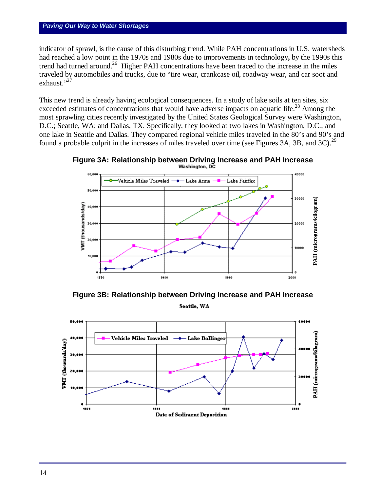# *Paving Our Way to Water Shortages*

indicator of sprawl, is the cause of this disturbing trend. While PAH concentrations in U.S. watersheds had reached a low point in the 1970s and 1980s due to improvements in technology**,** by the 1990s this trend had turned around.<sup>26</sup> Higher PAH concentrations have been traced to the increase in the miles traveled by automobiles and trucks, due to "tire wear, crankcase oil, roadway wear, and car soot and exhaust."<sup>27</sup>

This new trend is already having ecological consequences. In a study of lake soils at ten sites, six exceeded estimates of concentrations that would have adverse impacts on aquatic life.<sup>28</sup> Among the most sprawling cities recently investigated by the United States Geological Survey were Washington, D.C.; Seattle, WA; and Dallas, TX. Specifically, they looked at two lakes in Washington, D.C., and one lake in Seattle and Dallas. They compared regional vehicle miles traveled in the 80's and 90's and found a probable culprit in the increases of miles traveled over time (see Figures 3A, 3B, and 3C).<sup>29</sup>





**Figure 3B: Relationship between Driving Increase and PAH Increase** Seattle, WA

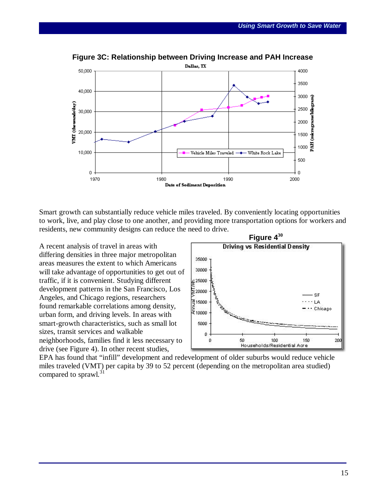

**Figure 3C: Relationship between Driving Increase and PAH Increase**

Smart growth can substantially reduce vehicle miles traveled. By conveniently locating opportunities to work, live, and play close to one another, and providing more transportation options for workers and residents, new community designs can reduce the need to drive.

A recent analysis of travel in areas with differing densities in three major metropolitan areas measures the extent to which Americans will take advantage of opportunities to get out of traffic, if it is convenient. Studying different development patterns in the San Francisco, Los Angeles, and Chicago regions, researchers found remarkable correlations among density, urban form, and driving levels. In areas with smart-growth characteristics, such as small lot sizes, transit services and walkable neighborhoods, families find it less necessary to drive (see Figure 4). In other recent studies,



EPA has found that "infill" development and redevelopment of older suburbs would reduce vehicle miles traveled (VMT) per capita by 39 to 52 percent (depending on the metropolitan area studied) compared to sprawl. $31$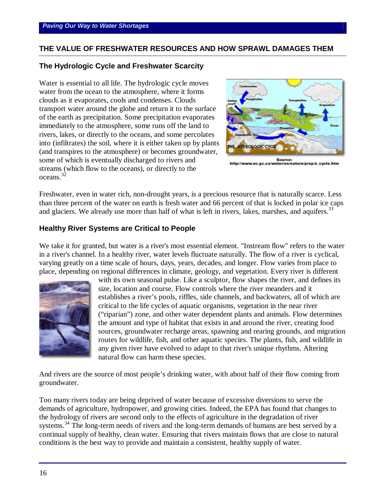# **THE VALUE OF FRESHWATER RESOURCES AND HOW SPRAWL DAMAGES THEM**

#### **The Hydrologic Cycle and Freshwater Scarcity**

Water is essential to all life. The hydrologic cycle moves water from the ocean to the atmosphere, where it forms clouds as it evaporates, cools and condenses. Clouds transport water around the globe and return it to the surface of the earth as precipitation. Some precipitation evaporates immediately to the atmosphere, some runs off the land to rivers, lakes, or directly to the oceans, and some percolates into (infiltrates) the soil, where it is either taken up by plants (and transpires to the atmosphere) or becomes groundwater, some of which is eventually discharged to rivers and streams (which flow to the oceans), or directly to the oceans.<sup>32</sup>



Source:<br>http://www.ec.gc.ca/water/en/nature/prop/e\_cycle.htm

Freshwater, even in water rich, non-drought years, is a precious resource that is naturally scarce. Less than three percent of the water on earth is fresh water and 66 percent of that is locked in polar ice caps and glaciers. We already use more than half of what is left in rivers, lakes, marshes, and aquifers.<sup>33</sup>

#### **Healthy River Systems are Critical to People**

We take it for granted, but water is a river's most essential element. "Instream flow" refers to the water in a river's channel. In a healthy river, water levels fluctuate naturally. The flow of a river is cyclical, varying greatly on a time scale of hours, days, years, decades, and longer. Flow varies from place to place, depending on regional differences in climate, geology, and vegetation. Every river is different



with its own seasonal pulse. Like a sculptor, flow shapes the river, and defines its size, location and course. Flow controls where the river meanders and it establishes a river's pools, riffles, side channels, and backwaters, all of which are critical to the life cycles of aquatic organisms, vegetation in the near river ("riparian") zone, and other water dependent plants and animals. Flow determines the amount and type of habitat that exists in and around the river, creating food sources, groundwater recharge areas, spawning and rearing grounds, and migration routes for wildlife, fish, and other aquatic species. The plants, fish, and wildlife in any given river have evolved to adapt to that river's unique rhythms. Altering natural flow can harm these species.

And rivers are the source of most people's drinking water, with about half of their flow coming from groundwater.

Too many rivers today are being deprived of water because of excessive diversions to serve the demands of agriculture, hydropower, and growing cities. Indeed, the EPA has found that changes to the hydrology of rivers are second only to the effects of agriculture in the degradation of river systems.<sup>34</sup> The long-term needs of rivers and the long-term demands of humans are best served by a continual supply of healthy, clean water. Ensuring that rivers maintain flows that are close to natural conditions is the best way to provide and maintain a consistent, healthy supply of water.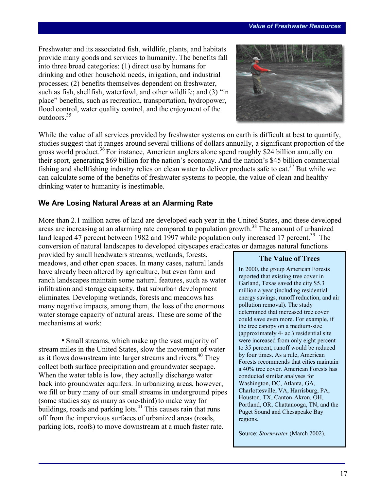Freshwater and its associated fish, wildlife, plants, and habitats provide many goods and services to humanity. The benefits fall into three broad categories: (1) direct use by humans for drinking and other household needs, irrigation, and industrial processes; (2) benefits themselves dependent on freshwater, such as fish, shellfish, waterfowl, and other wildlife; and (3) "in place" benefits, such as recreation, transportation, hydropower, flood control, water quality control, and the enjoyment of the outdoors<sup>35</sup>



While the value of all services provided by freshwater systems on earth is difficult at best to quantify, studies suggest that it ranges around several trillions of dollars annually, a significant proportion of the gross world product.<sup>36</sup> For instance, American anglers alone spend roughly \$24 billion annually on their sport, generating \$69 billion for the nation's economy. And the nation's \$45 billion commercial fishing and shellfishing industry relies on clean water to deliver products safe to eat.<sup>37</sup> But while we can calculate some of the benefits of freshwater systems to people, the value of clean and healthy drinking water to humanity is inestimable.

# **We Are Losing Natural Areas at an Alarming Rate**

More than 2.1 million acres of land are developed each year in the United States, and these developed areas are increasing at an alarming rate compared to population growth.<sup>38</sup> The amount of urbanized land leaped 47 percent between 1982 and 1997 while population only increased 17 percent.<sup>39</sup> The conversion of natural landscapes to developed cityscapes eradicates or damages natural functions

provided by small headwaters streams, wetlands, forests, meadows, and other open spaces. In many cases, natural lands have already been altered by agriculture, but even farm and ranch landscapes maintain some natural features, such as water infiltration and storage capacity, that suburban development eliminates. Developing wetlands, forests and meadows has many negative impacts, among them, the loss of the enormous water storage capacity of natural areas. These are some of the mechanisms at work:

• Small streams, which make up the vast majority of stream miles in the United States, slow the movement of water as it flows downstream into larger streams and rivers.<sup>40</sup> They collect both surface precipitation and groundwater seepage. When the water table is low, they actually discharge water back into groundwater aquifers. In urbanizing areas, however, we fill or bury many of our small streams in underground pipes (some studies say as many as one-third) to make way for buildings, roads and parking lots. $41$  This causes rain that runs off from the impervious surfaces of urbanized areas (roads, parking lots, roofs) to move downstream at a much faster rate.

# **The Value of Trees**

In 2000, the group American Forests reported that existing tree cover in Garland, Texas saved the city \$5.3 million a year (including residential energy savings, runoff reduction, and air pollution removal). The study determined that increased tree cover could save even more. For example, if the tree canopy on a medium-size (approximately 4- ac.) residential site were increased from only eight percent to 35 percent, runoff would be reduced by four times. As a rule, American Forests recommends that cities maintain a 40% tree cover. American Forests has conducted similar analyses for Washington, DC, Atlanta, GA, Charlottesville, VA, Harrisburg, PA, Houston, TX, Canton-Akron, OH, Portland, OR, Chattanooga, TN, and the Puget Sound and Chesapeake Bay regions.

Source: *Stormwater* (March 2002).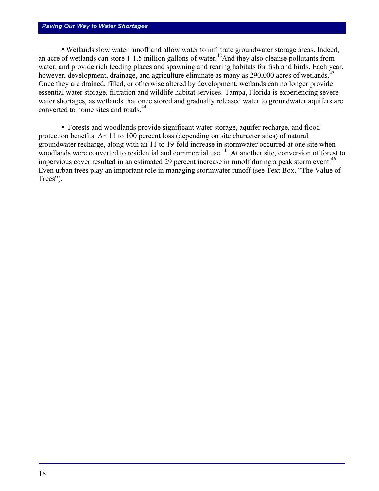#### *Paving Our Way to Water Shortages*

• Wetlands slow water runoff and allow water to infiltrate groundwater storage areas. Indeed, an acre of wetlands can store  $1-1.5$  million gallons of water.<sup>42</sup>And they also cleanse pollutants from water, and provide rich feeding places and spawning and rearing habitats for fish and birds. Each year, however, development, drainage, and agriculture eliminate as many as 290,000 acres of wetlands.<sup>43</sup> Once they are drained, filled, or otherwise altered by development, wetlands can no longer provide essential water storage, filtration and wildlife habitat services. Tampa, Florida is experiencing severe water shortages, as wetlands that once stored and gradually released water to groundwater aquifers are converted to home sites and roads.<sup>44</sup>

• Forests and woodlands provide significant water storage, aquifer recharge, and flood protection benefits. An 11 to 100 percent loss (depending on site characteristics) of natural groundwater recharge, along with an 11 to 19-fold increase in stormwater occurred at one site when woodlands were converted to residential and commercial use.<sup>45</sup> At another site, conversion of forest to impervious cover resulted in an estimated 29 percent increase in runoff during a peak storm event.<sup>46</sup> Even urban trees play an important role in managing stormwater runoff (see Text Box, "The Value of Trees").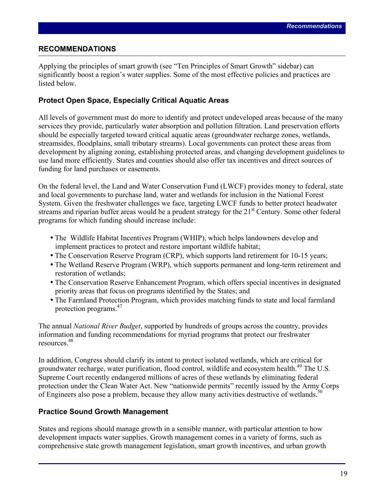#### **RECOMMENDATIONS**

Applying the principles of smart growth (see "Ten Principles of Smart Growth" sidebar) can significantly boost a region's water supplies. Some of the most effective policies and practices are listed below.

# **Protect Open Space, Especially Critical Aquatic Areas**

All levels of government must do more to identify and protect undeveloped areas because of the many services they provide, particularly water absorption and pollution filtration. Land preservation efforts should be especially targeted toward critical aquatic areas (groundwater recharge zones, wetlands, streamsides, floodplains, small tributary streams). Local governments can protect these areas from development by aligning zoning, establishing protected areas, and changing development guidelines to use land more efficiently. States and counties should also offer tax incentives and direct sources of funding for land purchases or easements.

On the federal level, the Land and Water Conservation Fund (LWCF) provides money to federal, state and local governments to purchase land, water and wetlands for inclusion in the National Forest System. Given the freshwater challenges we face, targeting LWCF funds to better protect headwater streams and riparian buffer areas would be a prudent strategy for the 21<sup>st</sup> Century. Some other federal programs for which funding should increase include:

- The Wildlife Habitat Incentives Program (WHIP), which helps landowners develop and implement practices to protect and restore important wildlife habitat;
- The Conservation Reserve Program (CRP), which supports land retirement for 10-15 years;
- The Wetland Reserve Program (WRP), which supports permanent and long-term retirement and restoration of wetlands;
- The Conservation Reserve Enhancement Program, which offers special incentives in designated priority areas that focus on programs identified by the States; and
- The Farmland Protection Program, which provides matching funds to state and local farmland protection programs.47

The annual *National River Budget*, supported by hundreds of groups across the country, provides information and funding recommendations for myriad programs that protect our freshwater resources.48

In addition, Congress should clarify its intent to protect isolated wetlands, which are critical for groundwater recharge, water purification, flood control, wildlife and ecosystem health.<sup>49</sup> The U.S. Supreme Court recently endangered millions of acres of these wetlands by eliminating federal protection under the Clean Water Act. New "nationwide permits" recently issued by the Army Corps of Engineers also pose a problem, because they allow many activities destructive of wetlands.<sup>50</sup>

# **Practice Sound Growth Management**

States and regions should manage growth in a sensible manner, with particular attention to how development impacts water supplies. Growth management comes in a variety of forms, such as comprehensive state growth management legislation, smart growth incentives, and urban growth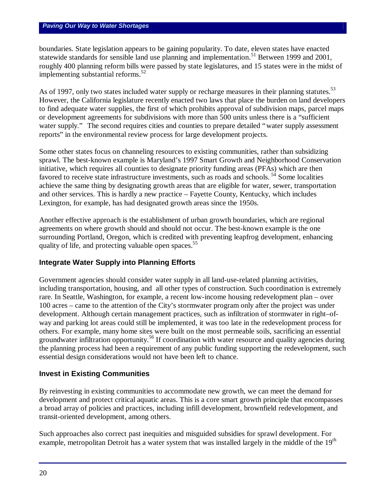boundaries. State legislation appears to be gaining popularity. To date, eleven states have enacted statewide standards for sensible land use planning and implementation.<sup>51</sup> Between 1999 and 2001, roughly 400 planning reform bills were passed by state legislatures, and 15 states were in the midst of implementing substantial reforms. $52$ 

As of 1997, only two states included water supply or recharge measures in their planning statutes.<sup>53</sup> However, the California legislature recently enacted two laws that place the burden on land developers to find adequate water supplies, the first of which prohibits approval of subdivision maps, parcel maps or development agreements for subdivisions with more than 500 units unless there is a "sufficient water supply." The second requires cities and counties to prepare detailed "water supply assessment reports" in the environmental review process for large development projects.

Some other states focus on channeling resources to existing communities, rather than subsidizing sprawl. The best-known example is Maryland's 1997 Smart Growth and Neighborhood Conservation initiative, which requires all counties to designate priority funding areas (PFAs) which are then favored to receive state infrastructure investments, such as roads and schools.<sup>54</sup> Some localities achieve the same thing by designating growth areas that are eligible for water, sewer, transportation and other services. This is hardly a new practice – Fayette County, Kentucky, which includes Lexington, for example, has had designated growth areas since the 1950s.

Another effective approach is the establishment of urban growth boundaries, which are regional agreements on where growth should and should not occur. The best-known example is the one surrounding Portland, Oregon, which is credited with preventing leapfrog development, enhancing quality of life, and protecting valuable open spaces.<sup>55</sup>

# **Integrate Water Supply into Planning Efforts**

Government agencies should consider water supply in all land-use-related planning activities, including transportation, housing, and all other types of construction. Such coordination is extremely rare. In Seattle, Washington, for example, a recent low-income housing redevelopment plan – over 100 acres – came to the attention of the City's stormwater program only after the project was under development. Although certain management practices, such as infiltration of stormwater in right–ofway and parking lot areas could still be implemented, it was too late in the redevelopment process for others. For example, many home sites were built on the most permeable soils, sacrificing an essential groundwater infiltration opportunity.<sup>56</sup> If coordination with water resource and quality agencies during the planning process had been a requirement of any public funding supporting the redevelopment, such essential design considerations would not have been left to chance.

# **Invest in Existing Communities**

By reinvesting in existing communities to accommodate new growth, we can meet the demand for development and protect critical aquatic areas. This is a core smart growth principle that encompasses a broad array of policies and practices, including infill development, brownfield redevelopment, and transit-oriented development, among others.

Such approaches also correct past inequities and misguided subsidies for sprawl development. For example, metropolitan Detroit has a water system that was installed largely in the middle of the 19<sup>th</sup>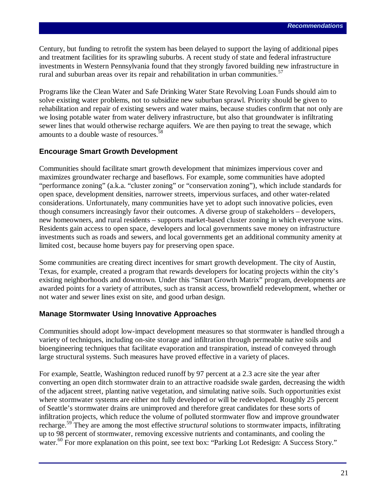Century, but funding to retrofit the system has been delayed to support the laying of additional pipes and treatment facilities for its sprawling suburbs. A recent study of state and federal infrastructure investments in Western Pennsylvania found that they strongly favored building new infrastructure in rural and suburban areas over its repair and rehabilitation in urban communities.<sup>57</sup>

Programs like the Clean Water and Safe Drinking Water State Revolving Loan Funds should aim to solve existing water problems, not to subsidize new suburban sprawl. Priority should be given to rehabilitation and repair of existing sewers and water mains, because studies confirm that not only are we losing potable water from water delivery infrastructure, but also that groundwater is infiltrating sewer lines that would otherwise recharge aquifers. We are then paying to treat the sewage, which amounts to a double waste of resources.<sup>58</sup>

#### **Encourage Smart Growth Development**

Communities should facilitate smart growth development that minimizes impervious cover and maximizes groundwater recharge and baseflows. For example, some communities have adopted "performance zoning" (a.k.a. "cluster zoning" or "conservation zoning"), which include standards for open space, development densities, narrower streets, impervious surfaces, and other water-related considerations. Unfortunately, many communities have yet to adopt such innovative policies, even though consumers increasingly favor their outcomes. A diverse group of stakeholders – developers, new homeowners, and rural residents – supports market-based cluster zoning in which everyone wins. Residents gain access to open space, developers and local governments save money on infrastructure investments such as roads and sewers, and local governments get an additional community amenity at limited cost, because home buyers pay for preserving open space.

Some communities are creating direct incentives for smart growth development. The city of Austin, Texas, for example, created a program that rewards developers for locating projects within the city's existing neighborhoods and downtown. Under this "Smart Growth Matrix" program, developments are awarded points for a variety of attributes, such as transit access, brownfield redevelopment, whether or not water and sewer lines exist on site, and good urban design.

#### **Manage Stormwater Using Innovative Approaches**

Communities should adopt low-impact development measures so that stormwater is handled through a variety of techniques, including on-site storage and infiltration through permeable native soils and bioengineering techniques that facilitate evaporation and transpiration, instead of conveyed through large structural systems. Such measures have proved effective in a variety of places.

For example, Seattle, Washington reduced runoff by 97 percent at a 2.3 acre site the year after converting an open ditch stormwater drain to an attractive roadside swale garden, decreasing the width of the adjacent street, planting native vegetation, and simulating native soils. Such opportunities exist where stormwater systems are either not fully developed or will be redeveloped. Roughly 25 percent of Seattle's stormwater drains are unimproved and therefore great candidates for these sorts of infiltration projects, which reduce the volume of polluted stormwater flow and improve groundwater recharge.<sup>59</sup> They are among the most effective *structural* solutions to stormwater impacts, infiltrating up to 98 percent of stormwater, removing excessive nutrients and contaminants, and cooling the water.<sup>60</sup> For more explanation on this point, see text box: "Parking Lot Redesign: A Success Story."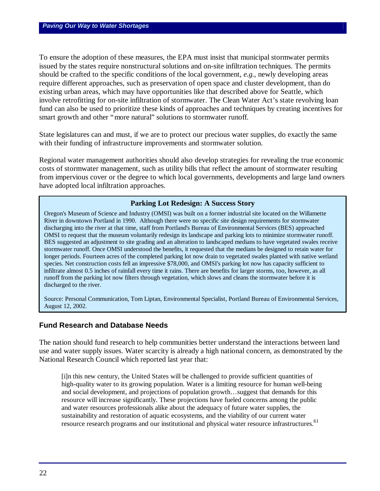To ensure the adoption of these measures, the EPA must insist that municipal stormwater permits issued by the states require nonstructural solutions and on-site infiltration techniques. The permits should be crafted to the specific conditions of the local government, *e.g.*, newly developing areas require different approaches, such as preservation of open space and cluster development, than do existing urban areas, which may have opportunities like that described above for Seattle, which involve retrofitting for on-site infiltration of stormwater. The Clean Water Act's state revolving loan fund can also be used to prioritize these kinds of approaches and techniques by creating incentives for smart growth and other "more natural" solutions to stormwater runoff.

State legislatures can and must, if we are to protect our precious water supplies, do exactly the same with their funding of infrastructure improvements and stormwater solution.

Regional water management authorities should also develop strategies for revealing the true economic costs of stormwater management, such as utility bills that reflect the amount of stormwater resulting from impervious cover or the degree to which local governments, developments and large land owners have adopted local infiltration approaches.

#### **Parking Lot Redesign: A Success Story**

Oregon's Museum of Science and Industry (OMSI) was built on a former industrial site located on the Willamette River in downtown Portland in 1990. Although there were no specific site design requirements for stormwater discharging into the river at that time, staff from Portland's Bureau of Environmental Services (BES) approached OMSI to request that the museum voluntarily redesign its landscape and parking lots to minimize stormwater runoff. BES suggested an adjustment to site grading and an alteration to landscaped medians to have vegetated swales receive stormwater runoff. Once OMSI understood the benefits, it requested that the medians be designed to retain water for longer periods. Fourteen acres of the completed parking lot now drain to vegetated swales planted with native wetland species. Net construction costs fell an impressive \$78,000, and OMSI's parking lot now has capacity sufficient to infiltrate almost 0.5 inches of rainfall every time it rains. There are benefits for larger storms, too, however, as all runoff from the parking lot now filters through vegetation, which slows and cleans the stormwater before it is discharged to the river.

Source: Personal Communication, Tom Liptan, Environmental Specialist, Portland Bureau of Environmental Services, August 12, 2002.

#### **Fund Research and Database Needs**

The nation should fund research to help communities better understand the interactions between land use and water supply issues. Water scarcity is already a high national concern, as demonstrated by the National Research Council which reported last year that:

[i]n this new century, the United States will be challenged to provide sufficient quantities of high-quality water to its growing population. Water is a limiting resource for human well-being and social development, and projections of population growth… suggest that demands for this resource will increase significantly. These projections have fueled concerns among the public and water resources professionals alike about the adequacy of future water supplies, the sustainability and restoration of aquatic ecosystems, and the viability of our current water resource research programs and our institutional and physical water resource infrastructures.<sup>61</sup>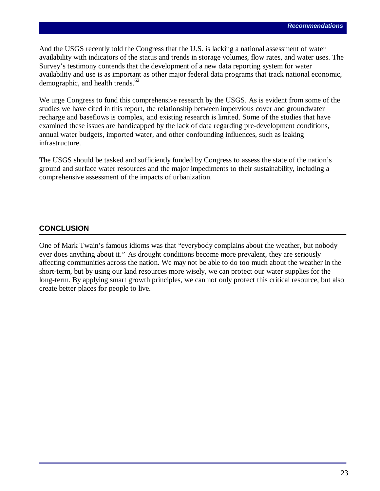And the USGS recently told the Congress that the U.S. is lacking a national assessment of water availability with indicators of the status and trends in storage volumes, flow rates, and water uses. The Survey's testimony contends that the development of a new data reporting system for water availability and use is as important as other major federal data programs that track national economic, demographic, and health trends. $62$ 

We urge Congress to fund this comprehensive research by the USGS. As is evident from some of the studies we have cited in this report, the relationship between impervious cover and groundwater recharge and baseflows is complex, and existing research is limited. Some of the studies that have examined these issues are handicapped by the lack of data regarding pre-development conditions, annual water budgets, imported water, and other confounding influences, such as leaking infrastructure.

The USGS should be tasked and sufficiently funded by Congress to assess the state of the nation's ground and surface water resources and the major impediments to their sustainability, including a comprehensive assessment of the impacts of urbanization.

# **CONCLUSION**

One of Mark Twain's famous idioms was that "everybody complains about the weather, but nobody ever does anything about it." As drought conditions become more prevalent, they are seriously affecting communities across the nation. We may not be able to do too much about the weather in the short-term, but by using our land resources more wisely, we can protect our water supplies for the long-term. By applying smart growth principles, we can not only protect this critical resource, but also create better places for people to live.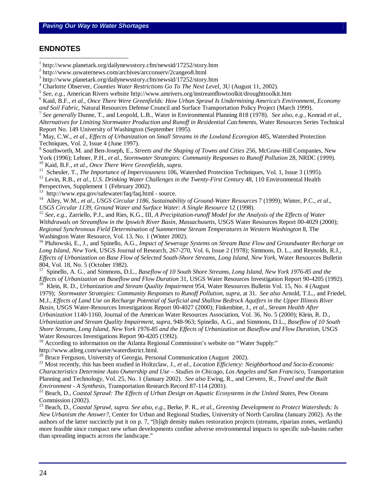#### **ENDNOTES**

 $\overline{a}$ 

4 Charlotte Observer*, Counties Water Restrictions Go To The Next Level,* 3U (August 11, 2002).

5 *See, e.g.,* American Rivers website http://www.amrivers.org/instreamflowtoolkit/droughttoolkit.htm

6 Kaid, B.F., *et al*., *Once There Were Greenfields: How Urban Sprawl Is Undermining America's Environment, Economy* 

*and Soil Fabric*, Natural Resources Defense Council and Surface Transportation Policy Project (March 1999).

7 *See generally* Dunne, T., and Leopold, L.B., Water in Environmental Planning 818 (1978). *See also, e.g.,* Konrad *et al., Alternatives for Limiting Stormwater Production and Runoff in Residential Catchments*, Water Resources Series Technical Report No. 149 University of Washington (September 1995).

<sup>8</sup> May, C.W., *et al., Effects of Urbanization on Small Streams in the Lowland Ecoregion* 485, Watershed Protection Techniques, Vol. 2, Issue 4 (June 1997).

9 Southworth, M. and Ben-Joseph, E., *Streets and the Shaping of Towns and Cities* 256, McGraw-Hill Companies, New York (1996); Lehner, P.H., *et al., Stormwater Strategies: Community Responses to Runoff Pollution* 28, NRDC (1999). <sup>10</sup> Kaid, B.F., *et al*., *Once There Were Greenfields, supra*.

<sup>11</sup> Scheuler, T., *The Importance of Imperviousness* 106, Watershed Protection Techniques, Vol. 1, Issue 3 (1995).

<sup>12</sup> Levin, R.B., *et al., U.S. Drinking Water Challenges in the Twenty-First Century* 48, 110 Environmental Health Perspectives, Supplement 1 (February 2002).

<sup>13</sup> http://www.epa.gov/safewater/faq/faq.html - source.

<sup>14</sup> Alley, W.M., *et al.*, *USGS Circular 1186, Sustainability of Ground-Water Resources* 7 (1999); Winter, P.C., *et al.*, *USGS Circular 1139, Ground Water and Surface Water: A Single Resource* 12 (1998).

<sup>15</sup> *See, e.g.*, Zarriello, P.J., and Ries, K.G., III, *A Precipitation-runoff Model for the Analysis of the Effects of Water Withdrawals on Streamflow in the Ipswich River Basin, Massachusetts*, USGS Water Resources Report 00-4029 (2000); *Regional Synchronous Field Determination of Summertime Stream Temperatures in Western Washington* 8, The Washington Water Resource, Vol. 13, No. 1 (Winter 2002).

<sup>16</sup> Pluhowski, E., J., and Spinello, A.G., *Impact of Sewerage Systems on Stream Base Flow and Groundwater Recharge on Long Island, New York*, USGS Journal of Research, 267-270, Vol. 6, Issue 2 (1978); Simmons, D. L., and Reynolds, R.J., *Effects of Urbanization on Base Flow of Selected South-Shore Streams, Long Island, New York*, Water Resources Bulletin 804, Vol. 18, No. 5 (October 1982).<br><sup>17</sup> Spinello, A. G., and Simmons, D.

<sup>17</sup> Spinello, A. G., and Simmons, D.L., *Baseflow of 10 South Shore Streams, Long Island, New York 1976-85 and the Effects of Urbanization on Baseflow and Flow Duration* 31, USGS Water Resources Investigation Report 90-4205 (1992). <sup>18</sup> Klein, R. D., *Urbanization and Stream Quality Impairment* 954, Water Resources Bulletin Vol. 15, No. 4 (August

1979); *Stormwater Strategies: Community Responses to Runoff Pollution*, *supra*, at 31. *See also* Arnold, T.L., and Friedel, M.J., *Effects of Land Use on Recharge Potential of Surficial and Shallow Bedrock Aquifers in the Upper Illinois River Basin*, USGS Water-Resources Investigations Report 00-4027 (2000); Finkenbine, J., *et al.*, *Stream Health After Urbanization* 1140-1160, Journal of the American Water Resources Association, Vol. 36, No. 5 (2000); Klein, R. D., *Urbanization and Stream Quality Impairment*, *supra*, 948-963; Spinello, A.G., and Simmons, D.L., *Baseflow of 10 South Shore Streams, Long Island, New York 1976-85 and the Effects of Urbanization on Baseflow and Flow Duration*, USGS Water Resources Investigations Report 90-4205 (1992).

<sup>19</sup> According to information on the Atlanta Regional Commission's website on "Water Supply:" http://www.atlreg.com/water/waterdistrict.html.

 $^{20}$  Bruce Ferguson, University of Georgia, Personal Communication (August 2002).

<sup>21</sup> Most recently, this has been studied in Holtzclaw, J., *et al., Location Efficiency: Neighborhood and Socio-Economic Characteristics Determine Auto Ownership and Use – Studies in Chicago, Los Angeles and San Francisco*, Transportation Planning and Technology, Vol. 25, No. 1 (January 2002). *See also* Ewing, R., and Cervero, R., *Travel and the Built Environment - A Synthesis,* Transportation Research Record 87-114 (2001).

<sup>22</sup> Beach, D., *Coastal Sprawl: The Effects of Urban Design on Aquatic Ecosystems in the United States*, Pew Oceans Commission (2002).

<sup>23</sup> Beach, D., *Coastal Sprawl*, *supra. See also, e.g.,* Berke, P. R., *et al., Greening Development to Protect Watersheds: Is New Urbanism the Answer?,* Center for Urban and Regional Studies, University of North Carolina (January 2002). As the authors of the latter succinctly put it on p. 7, "[h]igh density makes restoration projects (streams, riparian zones, wetlands) more feasible since compact new urban developments confine adverse environmental impacts to specific sub-basins rather than spreading impacts across the landscape."

<sup>1</sup> http://www.planetark.org/dailynewsstory.cfm/newsid/17252/story.htm

<sup>2</sup> http://www.uswaternews.com/archives/arcconserv/2cangeo8.html

<sup>3</sup> http://www.planetark.org/dailynewsstory.cfm/newsid/17252/story.htm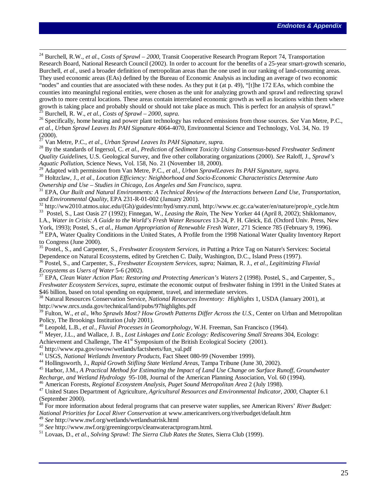<sup>24</sup> Burchell, R.W., *et al.*, *Costs of Sprawl – 2000*, Transit Cooperative Research Program Report 74, Transportation Research Board, National Research Council (2002). In order to account for the benefits of a 25-year smart-growth scenario, Burchell, *et al.*, used a broader definition of metropolitan areas than the one used in our ranking of land-consuming areas. They used economic areas (EAs) defined by the Bureau of Economic Analysis as including an average of two economic "nodes" and counties that are associated with these nodes. As they put it (at p. 49), "[t]he 172 EAs, which combine the counties into meaningful regional entities, were chosen as the unit for analyzing growth and sprawl and redirecting sprawl growth to more central locations. These areas contain interrelated economic growth as well as locations within them where growth is taking place and probably should or should not take place as much. This is perfect for an analysis of sprawl." <sup>25</sup> Burchell, R. W., *et al.*, *Costs of Sprawl – 2000, supra*.

<sup>26</sup> Specifically, home heating and power plant technology has reduced emissions from those sources. *See* Van Metre, P.C., *et al., Urban Sprawl Leaves Its PAH Signature* 4064-4070, Environmental Science and Technology, Vol. 34, No. 19 (2000).

<sup>27</sup> Van Metre, P.C., *et al., Urban Sprawl Leaves Its PAH Signature, supra*.

 $\overline{a}$ 

<sup>28</sup> By the standards of Ingersol, C. *et al.*, *Prediction of Sediment Toxicity Using Consensus-based Freshwater Sediment Quality Guidelines*, U.S. Geological Survey, and five other collaborating organizations (2000). *See* Raloff, J., *Sprawl's Aquatic Pollution*, Science News, Vol. 158, No. 21 (November 18, 2000).

<sup>29</sup> Adapted with permission from Van Metre, P.C., *et al., Urban SprawlLeaves Its PAH Signature*, *supra*.

<sup>30</sup> Holtzclaw, J., *et al., Location Efficiency: Neighborhood and Socio-Economic Characteristics Determine Auto Ownership and Use – Studies in Chicago, Los Angeles and San Francisco, supra.*

<sup>31</sup> EPA, *Our Built and Natural Environments: A Technical Review of the Interactions between Land Use, Transportation, and Environmental Quality*, EPA 231-R-01-002 (January 2001).

<sup>32</sup> http://ww2010.atmos.uiuc.edu/(Gh)/guides/mtr/hyd/smry.rxml, http://www.ec.gc.ca/water/en/nature/prop/e\_cycle.htm <sup>33</sup> Postel, S., Last Oasis 27 (1992); Finnegan, W., *Leasing the Rain*, The New Yorker 44 (April 8, 2002); Shiklomanov, I.A., *Water in Crisis: A Guide to the World's Fresh Water Resources* 13-24, P. H. Gleick, Ed. (Oxford Univ. Press, New

York, 1993); Postel, S., *et al., Human Appropriation of Renewable Fresh Water*, 271 Science 785 (February 9, 1996). <sup>34</sup> EPA, Water Quality Conditions in the United States, A Profile from the 1998 National Water Quality Inventory Report to Congress (June 2000).

<sup>35</sup> Postel., S., and Carpenter, S., *Freshwater Ecosystem Services, in* Putting a Price Tag on Nature's Services: Societal Dependence on Natural Ecosystems, edited by Gretchen C. Daily, Washington, D.C., Island Press (1997).

<sup>36</sup> Postel, S., and Carpenter, S., *Freshwater Ecosystem Services, supra;* Naiman, R. J., *et al., Legitimizing Fluvial Ecosystems as Users of Water* 5-6 (2002).

<sup>37</sup> EPA, *Clean Water Action Plan: Restoring and Protecting American's Waters* 2 (1998). Postel, S., and Carpenter, S., *Freshwater Ecosystem Services*, *supra,* estimate the economic output of freshwater fishing in 1991 in the United States at \$46 billion, based on total spending on equipment, travel, and intermediate services.

<sup>38</sup> Natural Resources Conservation Service, *National Resources Inventory: Highlights* 1, USDA (January 2001), at http://www.nrcs.usda.gov/technical/land/pubs/97highlights.pdf

<sup>39</sup> Fulton, W., *et al.*, *Who Sprawls Most? How Growth Patterns Differ Across the U.S.,* Center on Urban and Metropolitan Policy, The Brookings Institution (July 2001).

<sup>40</sup> Leopold, L.B., *et al., Fluvial Processes in Geomorphology,* W.H. Freeman, San Francisco (1964).

<sup>41</sup> Meyer, J.L., and Wallace, J. B., *Lost Linkages and Lotic Ecology: Rediscovering Small Streams* 304, Ecology:

Achievement and Challenge, The  $41<sup>st</sup>$  Symposium of the British Ecological Society (2001).

<sup>42</sup> http://www.epa.gov/owow/wetlands/factsheets/fun\_val.pdf

<sup>43</sup> USGS, *National Wetlands Inventory Products*, Fact Sheet 080-99 (November 1999).

<sup>44</sup> Hollingsworth, J., *Rapid Growth Stifling State Wetland Areas*, Tampa Tribune (June 30, 2002).

<sup>45</sup> Harbor, J.M., *A Practical Method for Estimating the Impact of Land Use Change on Surface Runoff, Groundwater* 

*Recharge, and Wetland Hydrology* 95-108, Journal of the American Planning Association, Vol. 60 (1994).

<sup>46</sup> American Forests, *Regional Ecosystem Analysis, Puget Sound Metropolitan Area* 2 (July 1998).

<sup>47</sup> United States Department of Agriculture, *Agricultural Resources and Environmental Indicator, 2000,* Chapter 6.1 (September 2000).

<sup>48</sup> For more information about federal programs that can preserve water supplies, see American Rivers' *River Budget: National Priorities for Local River Conservation* at www.americanrivers.org/riverbudget/default.htm

<sup>49</sup> *See* http://www.nwf.org/wetlands/wetlandsatrisk.html

<sup>50</sup> *See* http://www.nwf.org/greeningcorps/cleanwateractprogram.html.

<sup>51</sup> Lovaas, D., *et al.*, *Solving Sprawl: The Sierra Club Rates the States*, Sierra Club (1999).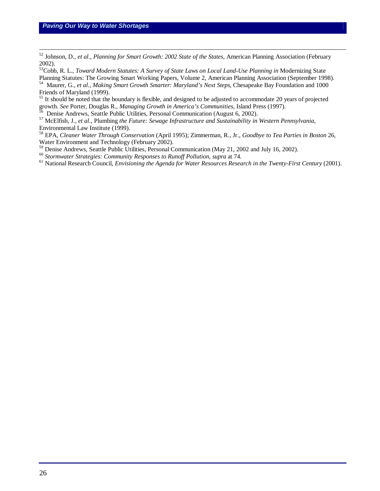$\overline{a}$ 

<sup>52</sup> Johnson, D., *et al., Planning for Smart Growth: 2002 State of the States*, American Planning Association (February 2002).

<sup>53</sup>Cobb, R. L., *Toward Modern Statutes: A Survey of State Laws on Local Land-Use Planning in* Modernizing State Planning Statutes: The Growing Smart Working Papers, Volume 2, American Planning Association (September 1998).

<sup>54</sup> Maurer, G., *et al., Making Smart Growth Smarter: Maryland's Next Steps*, Chesapeake Bay Foundation and 1000 Friends of Maryland (1999).

<sup>55</sup> It should be noted that the boundary is flexible, and designed to be adjusted to accommodate 20 years of projected growth. *See* Porter, Douglas R., *Managing Growth in America's Communities*, Island Press (1997).

 $6\text{}$  Denise Andrews, Seattle Public Utilities, Personal Communication (August 6, 2002).

<sup>57</sup> McElfish, J., *et al*., Plumbing *the Future: Sewage Infrastructure and Sustainability in Western Pennsylvania*, Environmental Law Institute (1999).

<sup>58</sup> EPA, *Cleaner Water Through Conservation* (April 1995); Zimmerman, R., Jr., *Goodbye to Tea Parties in Boston* 26, Water Environment and Technology (February 2002).

<sup>59</sup> Denise Andrews, Seattle Public Utilities, Personal Communication (May 21, 2002 and July 16, 2002).

<sup>60</sup> *Stormwater Strategies: Community Responses to Runoff Pollution, supra* at 74.

<sup>61</sup> National Research Council, *Envisioning the Agenda for Water Resources Research in the Twenty-First Century (2001)*.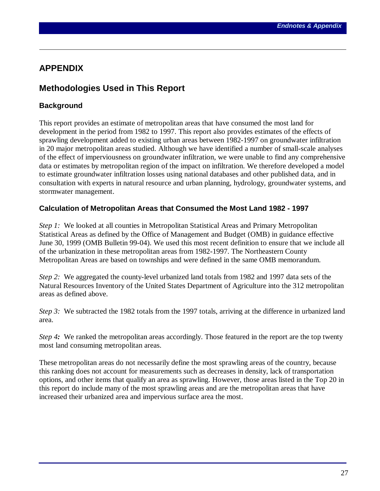# **APPENDIX**

 $\overline{a}$ 

# **Methodologies Used in This Report**

# **Background**

This report provides an estimate of metropolitan areas that have consumed the most land for development in the period from 1982 to 1997. This report also provides estimates of the effects of sprawling development added to existing urban areas between 1982-1997 on groundwater infiltration in 20 major metropolitan areas studied. Although we have identified a number of small-scale analyses of the effect of imperviousness on groundwater infiltration, we were unable to find any comprehensive data or estimates by metropolitan region of the impact on infiltration. We therefore developed a model to estimate groundwater infiltration losses using national databases and other published data, and in consultation with experts in natural resource and urban planning, hydrology, groundwater systems, and stormwater management.

# **Calculation of Metropolitan Areas that Consumed the Most Land 1982 - 1997**

*Step 1:* We looked at all counties in Metropolitan Statistical Areas and Primary Metropolitan Statistical Areas as defined by the Office of Management and Budget (OMB) in guidance effective June 30, 1999 (OMB Bulletin 99-04). We used this most recent definition to ensure that we include all of the urbanization in these metropolitan areas from 1982-1997. The Northeastern County Metropolitan Areas are based on townships and were defined in the same OMB memorandum.

*Step 2:* We aggregated the county-level urbanized land totals from 1982 and 1997 data sets of the Natural Resources Inventory of the United States Department of Agriculture into the 312 metropolitan areas as defined above.

*Step 3:* We subtracted the 1982 totals from the 1997 totals, arriving at the difference in urbanized land area.

*Step 4:* We ranked the metropolitan areas accordingly. Those featured in the report are the top twenty most land consuming metropolitan areas.

These metropolitan areas do not necessarily define the most sprawling areas of the country, because this ranking does not account for measurements such as decreases in density, lack of transportation options, and other items that qualify an area as sprawling. However, those areas listed in the Top 20 in this report do include many of the most sprawling areas and are the metropolitan areas that have increased their urbanized area and impervious surface area the most.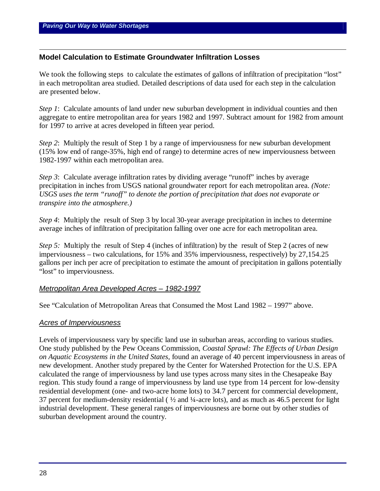$\overline{a}$ 

# **Model Calculation to Estimate Groundwater Infiltration Losses**

We took the following steps to calculate the estimates of gallons of infiltration of precipitation "lost" in each metropolitan area studied. Detailed descriptions of data used for each step in the calculation are presented below.

*Step 1*: Calculate amounts of land under new suburban development in individual counties and then aggregate to entire metropolitan area for years 1982 and 1997. Subtract amount for 1982 from amount for 1997 to arrive at acres developed in fifteen year period.

*Step 2*: Multiply the result of Step 1 by a range of imperviousness for new suburban development (15% low end of range-35%, high end of range) to determine acres of new imperviousness between 1982-1997 within each metropolitan area.

*Step 3*: Calculate average infiltration rates by dividing average "runoff" inches by average precipitation in inches from USGS national groundwater report for each metropolitan area. *(Note: USGS uses the term "runoff" to denote the portion of precipitation that does not evaporate or transpire into the atmosphere.)*

*Step 4*: Multiply the result of Step 3 by local 30-year average precipitation in inches to determine average inches of infiltration of precipitation falling over one acre for each metropolitan area.

*Step 5:* Multiply the result of Step 4 (inches of infiltration) by the result of Step 2 (acres of new imperviousness – two calculations, for 15% and 35% imperviousness, respectively) by 27,154.25 gallons per inch per acre of precipitation to estimate the amount of precipitation in gallons potentially "lost" to imperviousness.

# *Metropolitan Area Developed Acres – 1982-1997*

See "Calculation of Metropolitan Areas that Consumed the Most Land 1982 – 1997" above.

#### *Acres of Imperviousness*

Levels of imperviousness vary by specific land use in suburban areas, according to various studies. One study published by the Pew Oceans Commission, *Coastal Sprawl: The Effects of Urban Design on Aquatic Ecosystems in the United States,* found an average of 40 percent imperviousness in areas of new development. Another study prepared by the Center for Watershed Protection for the U.S. EPA calculated the range of imperviousness by land use types across many sites in the Chesapeake Bay region. This study found a range of imperviousness by land use type from 14 percent for low-density residential development (one- and two-acre home lots) to 34.7 percent for commercial development, 37 percent for medium-density residential ( $\frac{1}{2}$  and  $\frac{1}{4}$ -acre lots), and as much as 46.5 percent for light industrial development. These general ranges of imperviousness are borne out by other studies of suburban development around the country.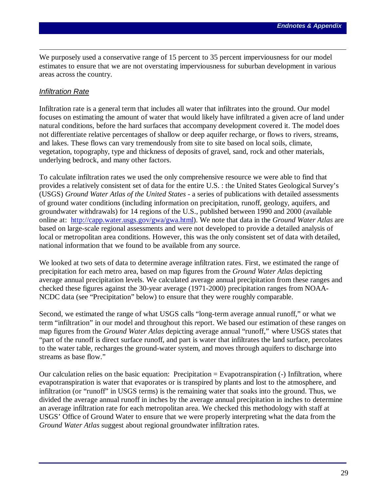We purposely used a conservative range of 15 percent to 35 percent imperviousness for our model estimates to ensure that we are not overstating imperviousness for suburban development in various areas across the country.

# *Infiltration Rate*

 $\overline{a}$ 

Infiltration rate is a general term that includes all water that infiltrates into the ground. Our model focuses on estimating the amount of water that would likely have infiltrated a given acre of land under natural conditions, before the hard surfaces that accompany development covered it. The model does not differentiate relative percentages of shallow or deep aquifer recharge, or flows to rivers, streams, and lakes. These flows can vary tremendously from site to site based on local soils, climate, vegetation, topography, type and thickness of deposits of gravel, sand, rock and other materials, underlying bedrock, and many other factors.

To calculate infiltration rates we used the only comprehensive resource we were able to find that provides a relatively consistent set of data for the entire U.S. : the United States Geological Survey's (USGS) *Ground Water Atlas of the United States* - a series of publications with detailed assessments of ground water conditions (including information on precipitation, runoff, geology, aquifers, and groundwater withdrawals) for 14 regions of the U.S., published between 1990 and 2000 (available online at: http://capp.water.usgs.gov/gwa/gwa.html). We note that data in the *Ground Water Atlas* are based on large-scale regional assessments and were not developed to provide a detailed analysis of local or metropolitan area conditions. However, this was the only consistent set of data with detailed, national information that we found to be available from any source.

We looked at two sets of data to determine average infiltration rates. First, we estimated the range of precipitation for each metro area, based on map figures from the *Ground Water Atlas* depicting average annual precipitation levels. We calculated average annual precipitation from these ranges and checked these figures against the 30-year average (1971-2000) precipitation ranges from NOAA-NCDC data (see "Precipitation" below) to ensure that they were roughly comparable.

Second, we estimated the range of what USGS calls "long-term average annual runoff," or what we term "infiltration" in our model and throughout this report. We based our estimation of these ranges on map figures from the *Ground Water Atlas* depicting average annual "runoff," where USGS states that "part of the runoff is direct surface runoff, and part is water that infiltrates the land surface, percolates to the water table, recharges the ground-water system, and moves through aquifers to discharge into streams as base flow."

Our calculation relies on the basic equation: Precipitation = Evapotranspiration  $\left($ - $\right)$  Infiltration, where evapotranspiration is water that evaporates or is transpired by plants and lost to the atmosphere, and infiltration (or "runoff" in USGS terms) is the remaining water that soaks into the ground. Thus, we divided the average annual runoff in inches by the average annual precipitation in inches to determine an average infiltration rate for each metropolitan area. We checked this methodology with staff at USGS' Office of Ground Water to ensure that we were properly interpreting what the data from the *Ground Water Atlas* suggest about regional groundwater infiltration rates.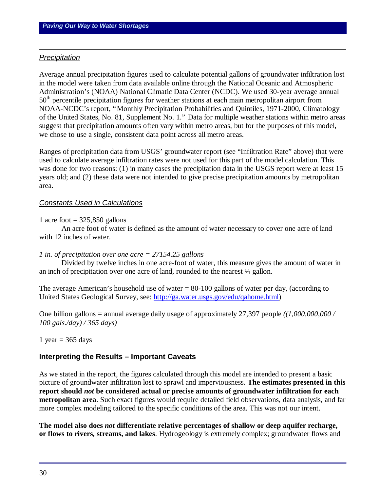#### *Precipitation*

 $\overline{a}$ 

Average annual precipitation figures used to calculate potential gallons of groundwater infiltration lost in the model were taken from data available online through the National Oceanic and Atmospheric Administration's (NOAA) National Climatic Data Center (NCDC). We used 30-year average annual 50<sup>th</sup> percentile precipitation figures for weather stations at each main metropolitan airport from NOAA-NCDC's report, "Monthly Precipitation Probabilities and Quintiles, 1971-2000, Climatology of the United States, No. 81, Supplement No. 1." Data for multiple weather stations within metro areas suggest that precipitation amounts often vary within metro areas, but for the purposes of this model, we chose to use a single, consistent data point across all metro areas.

Ranges of precipitation data from USGS' groundwater report (see "Infiltration Rate" above) that were used to calculate average infiltration rates were not used for this part of the model calculation. This was done for two reasons: (1) in many cases the precipitation data in the USGS report were at least 15 years old; and (2) these data were not intended to give precise precipitation amounts by metropolitan area.

#### *Constants Used in Calculations*

#### 1 acre foot  $= 325,850$  gallons

An acre foot of water is defined as the amount of water necessary to cover one acre of land with 12 inches of water.

#### *1 in. of precipitation over one acre = 27154.25 gallons*

Divided by twelve inches in one acre-foot of water, this measure gives the amount of water in an inch of precipitation over one acre of land, rounded to the nearest  $\frac{1}{4}$  gallon.

The average American's household use of water  $= 80 - 100$  gallons of water per day, (according to United States Geological Survey, see: http://ga.water.usgs.gov/edu/qahome.html)

One billion gallons = annual average daily usage of approximately 27,397 people *((1,000,000,000 / 100 gals./day) / 365 days)*

#### 1 year  $= 365$  days

#### **Interpreting the Results – Important Caveats**

As we stated in the report, the figures calculated through this model are intended to present a basic picture of groundwater infiltration lost to sprawl and imperviousness. **The estimates presented in this report should** *not* **be considered actual or precise amounts of groundwater infiltration for each metropolitan area**. Such exact figures would require detailed field observations, data analysis, and far more complex modeling tailored to the specific conditions of the area. This was not our intent.

**The model also does** *not* **differentiate relative percentages of shallow or deep aquifer recharge, or flows to rivers, streams, and lakes**. Hydrogeology is extremely complex; groundwater flows and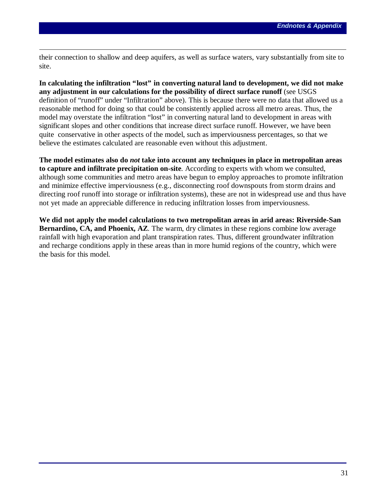their connection to shallow and deep aquifers, as well as surface waters, vary substantially from site to site.

 $\overline{a}$ 

**In calculating the infiltration "lost" in converting natural land to development, we did not make any adjustment in our calculations for the possibility of direct surface runoff** (see USGS definition of "runoff" under "Infiltration" above). This is because there were no data that allowed us a reasonable method for doing so that could be consistently applied across all metro areas. Thus, the model may overstate the infiltration "lost" in converting natural land to development in areas with significant slopes and other conditions that increase direct surface runoff. However, we have been quite conservative in other aspects of the model, such as imperviousness percentages, so that we believe the estimates calculated are reasonable even without this adjustment.

**The model estimates also do** *not* **take into account any techniques in place in metropolitan areas to capture and infiltrate precipitation on-site**. According to experts with whom we consulted, although some communities and metro areas have begun to employ approaches to promote infiltration and minimize effective imperviousness (e.g., disconnecting roof downspouts from storm drains and directing roof runoff into storage or infiltration systems), these are not in widespread use and thus have not yet made an appreciable difference in reducing infiltration losses from imperviousness.

**We did not apply the model calculations to two metropolitan areas in arid areas: Riverside-San Bernardino, CA, and Phoenix, AZ.** The warm, dry climates in these regions combine low average rainfall with high evaporation and plant transpiration rates. Thus, different groundwater infiltration and recharge conditions apply in these areas than in more humid regions of the country, which were the basis for this model.